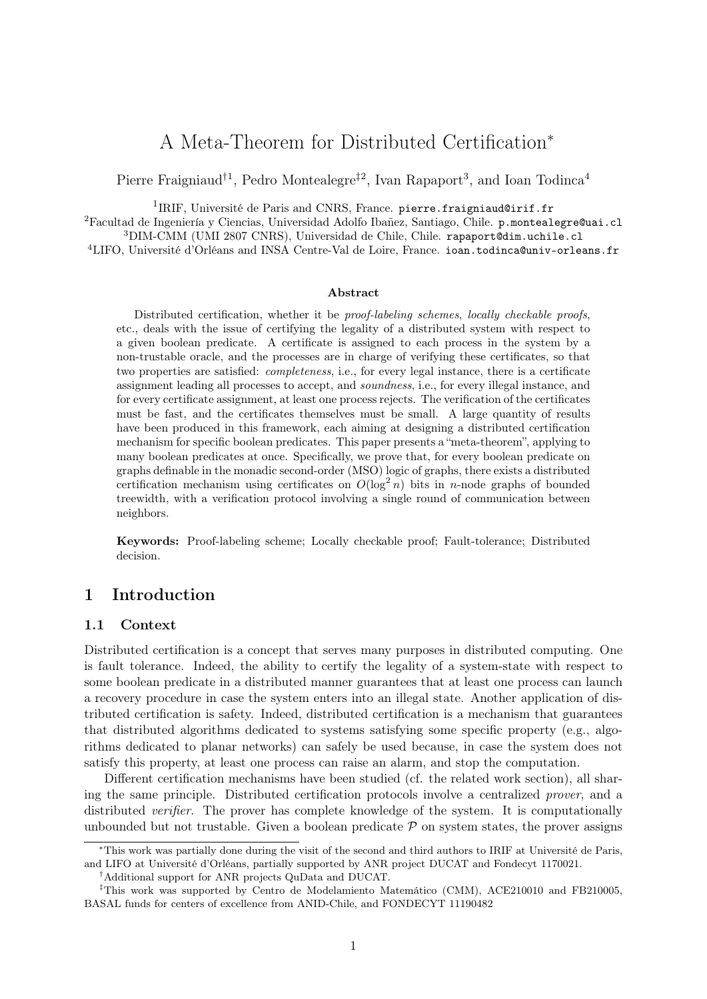# A Meta-Theorem for Distributed Certification<sup>∗</sup>

Pierre Fraigniaud<sup>†1</sup>, Pedro Montealegre<sup>‡2</sup>, Ivan Rapaport<sup>3</sup>, and Ioan Todinca<sup>4</sup>

 $^{1}$ IRIF, Université de Paris and CNRS, France. pierre.fraigniaud@irif.fr

<sup>2</sup>Facultad de Ingeniería y Ciencias, Universidad Adolfo Ibañez, Santiago, Chile. p.montealegre@uai.cl <sup>3</sup>DIM-CMM (UMI 2807 CNRS), Universidad de Chile, Chile. rapaport@dim.uchile.cl

<sup>4</sup>LIFO, Université d'Orléans and INSA Centre-Val de Loire, France. ioan.todinca@univ-orleans.fr

#### Abstract

Distributed certification, whether it be *proof-labeling schemes, locally checkable proofs*, etc., deals with the issue of certifying the legality of a distributed system with respect to a given boolean predicate. A certificate is assigned to each process in the system by a non-trustable oracle, and the processes are in charge of verifying these certificates, so that two properties are satisfied: completeness, i.e., for every legal instance, there is a certificate assignment leading all processes to accept, and soundness, i.e., for every illegal instance, and for every certificate assignment, at least one process rejects. The verification of the certificates must be fast, and the certificates themselves must be small. A large quantity of results have been produced in this framework, each aiming at designing a distributed certification mechanism for specific boolean predicates. This paper presents a "meta-theorem", applying to many boolean predicates at once. Specifically, we prove that, for every boolean predicate on graphs definable in the monadic second-order (MSO) logic of graphs, there exists a distributed certification mechanism using certificates on  $O(\log^2 n)$  bits in *n*-node graphs of bounded treewidth, with a verification protocol involving a single round of communication between neighbors.

Keywords: Proof-labeling scheme; Locally checkable proof; Fault-tolerance; Distributed decision.

## 1 Introduction

#### 1.1 Context

Distributed certification is a concept that serves many purposes in distributed computing. One is fault tolerance. Indeed, the ability to certify the legality of a system-state with respect to some boolean predicate in a distributed manner guarantees that at least one process can launch a recovery procedure in case the system enters into an illegal state. Another application of distributed certification is safety. Indeed, distributed certification is a mechanism that guarantees that distributed algorithms dedicated to systems satisfying some specific property (e.g., algorithms dedicated to planar networks) can safely be used because, in case the system does not satisfy this property, at least one process can raise an alarm, and stop the computation.

Different certification mechanisms have been studied (cf. the related work section), all sharing the same principle. Distributed certification protocols involve a centralized prover, and a distributed *verifier*. The prover has complete knowledge of the system. It is computationally unbounded but not trustable. Given a boolean predicate  $\mathcal P$  on system states, the prover assigns

<sup>∗</sup>This work was partially done during the visit of the second and third authors to IRIF at Université de Paris, and LIFO at Université d'Orléans, partially supported by ANR project DUCAT and Fondecyt 1170021.

<sup>†</sup>Additional support for ANR projects QuData and DUCAT.

<sup>‡</sup>This work was supported by Centro de Modelamiento Matemático (CMM), ACE210010 and FB210005, BASAL funds for centers of excellence from ANID-Chile, and FONDECYT 11190482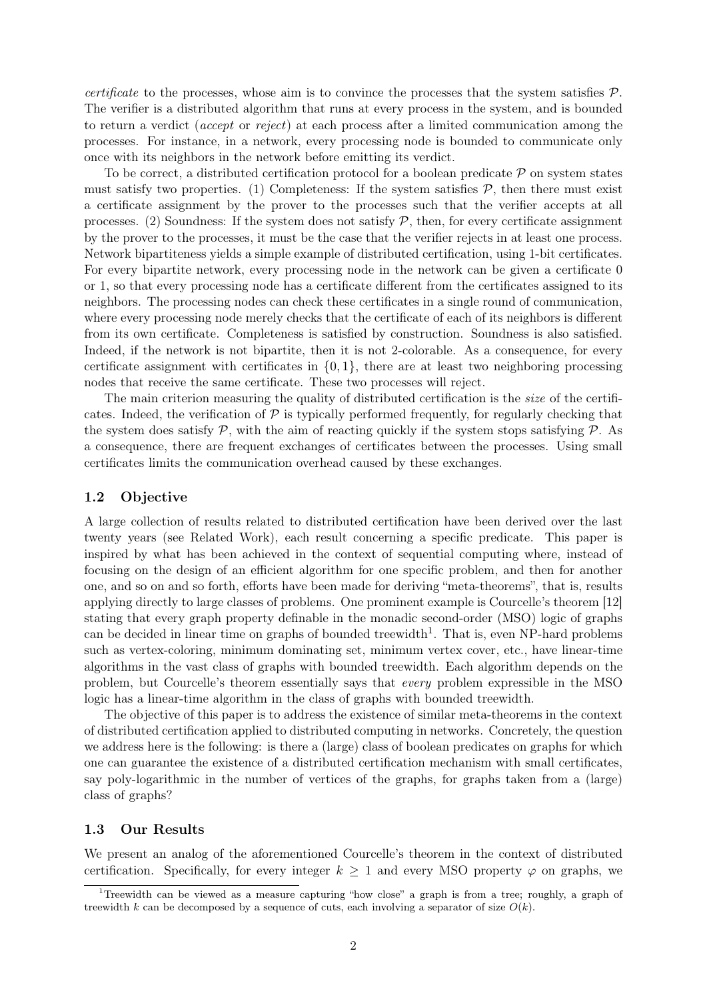*certificate* to the processes, whose aim is to convince the processes that the system satisfies  $\mathcal{P}$ . The verifier is a distributed algorithm that runs at every process in the system, and is bounded to return a verdict (accept or reject) at each process after a limited communication among the processes. For instance, in a network, every processing node is bounded to communicate only once with its neighbors in the network before emitting its verdict.

To be correct, a distributed certification protocol for a boolean predicate  $P$  on system states must satisfy two properties. (1) Completeness: If the system satisfies  $P$ , then there must exist a certificate assignment by the prover to the processes such that the verifier accepts at all processes. (2) Soundness: If the system does not satisfy  $P$ , then, for every certificate assignment by the prover to the processes, it must be the case that the verifier rejects in at least one process. Network bipartiteness yields a simple example of distributed certification, using 1-bit certificates. For every bipartite network, every processing node in the network can be given a certificate 0 or 1, so that every processing node has a certificate different from the certificates assigned to its neighbors. The processing nodes can check these certificates in a single round of communication, where every processing node merely checks that the certificate of each of its neighbors is different from its own certificate. Completeness is satisfied by construction. Soundness is also satisfied. Indeed, if the network is not bipartite, then it is not 2-colorable. As a consequence, for every certificate assignment with certificates in  $\{0, 1\}$ , there are at least two neighboring processing nodes that receive the same certificate. These two processes will reject.

The main criterion measuring the quality of distributed certification is the *size* of the certificates. Indeed, the verification of  $P$  is typically performed frequently, for regularly checking that the system does satisfy  $P$ , with the aim of reacting quickly if the system stops satisfying  $P$ . As a consequence, there are frequent exchanges of certificates between the processes. Using small certificates limits the communication overhead caused by these exchanges.

#### 1.2 Objective

A large collection of results related to distributed certification have been derived over the last twenty years (see Related Work), each result concerning a specific predicate. This paper is inspired by what has been achieved in the context of sequential computing where, instead of focusing on the design of an efficient algorithm for one specific problem, and then for another one, and so on and so forth, efforts have been made for deriving "meta-theorems", that is, results applying directly to large classes of problems. One prominent example is Courcelle's theorem [12] stating that every graph property definable in the monadic second-order (MSO) logic of graphs can be decided in linear time on graphs of bounded treewidth<sup>1</sup>. That is, even NP-hard problems such as vertex-coloring, minimum dominating set, minimum vertex cover, etc., have linear-time algorithms in the vast class of graphs with bounded treewidth. Each algorithm depends on the problem, but Courcelle's theorem essentially says that every problem expressible in the MSO logic has a linear-time algorithm in the class of graphs with bounded treewidth.

The objective of this paper is to address the existence of similar meta-theorems in the context of distributed certification applied to distributed computing in networks. Concretely, the question we address here is the following: is there a (large) class of boolean predicates on graphs for which one can guarantee the existence of a distributed certification mechanism with small certificates, say poly-logarithmic in the number of vertices of the graphs, for graphs taken from a (large) class of graphs?

#### 1.3 Our Results

We present an analog of the aforementioned Courcelle's theorem in the context of distributed certification. Specifically, for every integer  $k \geq 1$  and every MSO property  $\varphi$  on graphs, we

<sup>1</sup>Treewidth can be viewed as a measure capturing "how close" a graph is from a tree; roughly, a graph of treewidth k can be decomposed by a sequence of cuts, each involving a separator of size  $O(k)$ .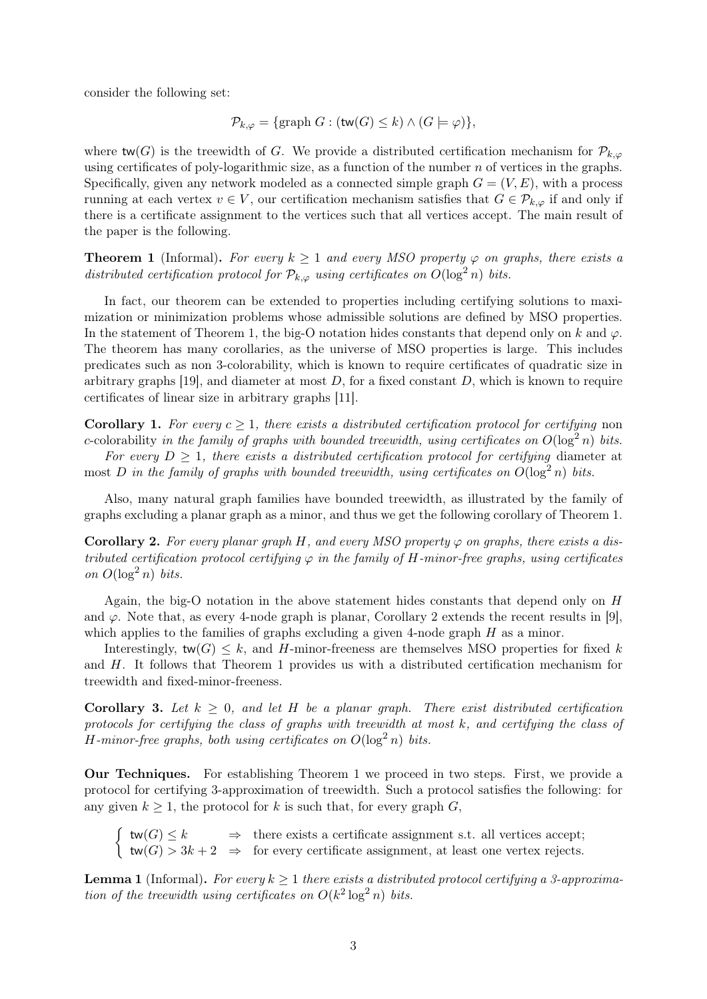consider the following set:

$$
\mathcal{P}_{k,\varphi} = \{ \text{graph } G : (\text{tw}(G) \leq k) \land (G \models \varphi) \},
$$

where tw(G) is the treewidth of G. We provide a distributed certification mechanism for  $\mathcal{P}_{k,\omega}$ using certificates of poly-logarithmic size, as a function of the number  $n$  of vertices in the graphs. Specifically, given any network modeled as a connected simple graph  $G = (V, E)$ , with a process running at each vertex  $v \in V$ , our certification mechanism satisfies that  $G \in \mathcal{P}_{k,\varphi}$  if and only if there is a certificate assignment to the vertices such that all vertices accept. The main result of the paper is the following.

**Theorem 1** (Informal). For every  $k \ge 1$  and every MSO property  $\varphi$  on graphs, there exists a distributed certification protocol for  $\mathcal{P}_{k,\varphi}$  using certificates on  $O(\log^2 n)$  bits.

In fact, our theorem can be extended to properties including certifying solutions to maximization or minimization problems whose admissible solutions are defined by MSO properties. In the statement of Theorem 1, the big-O notation hides constants that depend only on k and  $\varphi$ . The theorem has many corollaries, as the universe of MSO properties is large. This includes predicates such as non 3-colorability, which is known to require certificates of quadratic size in arbitrary graphs [19], and diameter at most  $D$ , for a fixed constant  $D$ , which is known to require certificates of linear size in arbitrary graphs [11].

**Corollary 1.** For every  $c \geq 1$ , there exists a distributed certification protocol for certifying non c-colorability in the family of graphs with bounded treewidth, using certificates on  $O(\log^2 n)$  bits.

For every  $D \geq 1$ , there exists a distributed certification protocol for certifying diameter at most D in the family of graphs with bounded treewidth, using certificates on  $O(\log^2 n)$  bits.

Also, many natural graph families have bounded treewidth, as illustrated by the family of graphs excluding a planar graph as a minor, and thus we get the following corollary of Theorem 1.

**Corollary 2.** For every planar graph H, and every MSO property  $\varphi$  on graphs, there exists a distributed certification protocol certifying  $\varphi$  in the family of H-minor-free graphs, using certificates on  $O(\log^2 n)$  bits.

Again, the big-O notation in the above statement hides constants that depend only on H and  $\varphi$ . Note that, as every 4-node graph is planar, Corollary 2 extends the recent results in [9], which applies to the families of graphs excluding a given 4-node graph  $H$  as a minor.

Interestingly,  $tw(G) \leq k$ , and H-minor-freeness are themselves MSO properties for fixed k and H. It follows that Theorem 1 provides us with a distributed certification mechanism for treewidth and fixed-minor-freeness.

**Corollary 3.** Let  $k > 0$ , and let H be a planar graph. There exist distributed certification protocols for certifying the class of graphs with treewidth at most k, and certifying the class of H-minor-free graphs, both using certificates on  $O(\log^2 n)$  bits.

Our Techniques. For establishing Theorem 1 we proceed in two steps. First, we provide a protocol for certifying 3-approximation of treewidth. Such a protocol satisfies the following: for any given  $k \geq 1$ , the protocol for k is such that, for every graph G,

 $\int tw(G) \leq k$   $\Rightarrow$  there exists a certificate assignment s.t. all vertices accept;  $\mathsf{tw}(G) > 3k + 2 \Rightarrow$  for every certificate assignment, at least one vertex rejects.

**Lemma 1** (Informal). For every  $k > 1$  there exists a distributed protocol certifying a 3-approximation of the treewidth using certificates on  $O(k^2 \log^2 n)$  bits.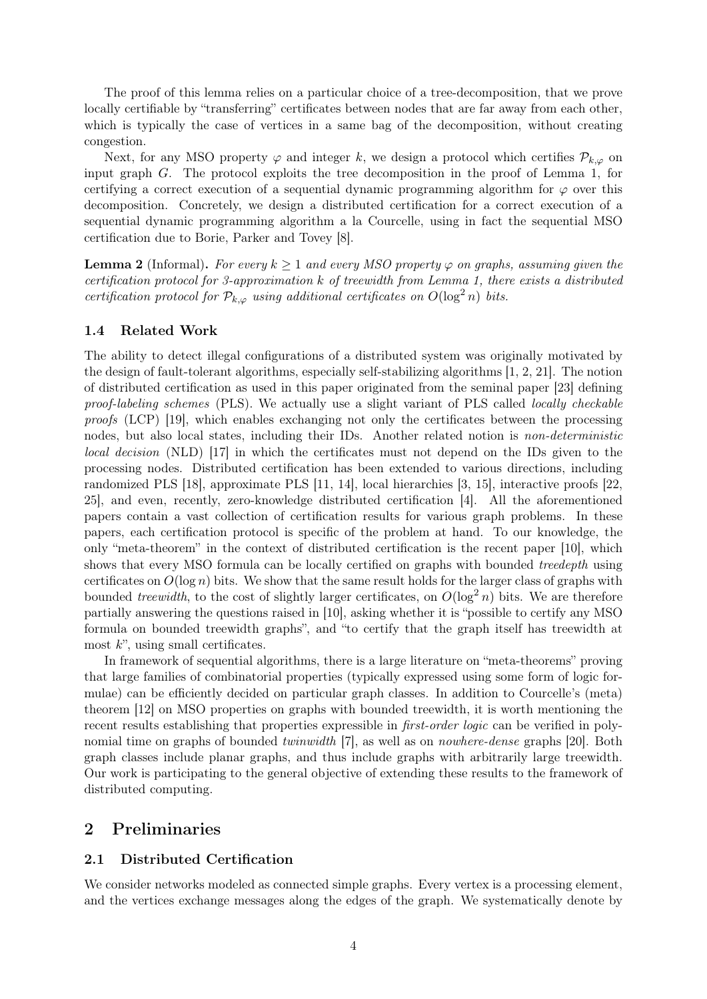The proof of this lemma relies on a particular choice of a tree-decomposition, that we prove locally certifiable by "transferring" certificates between nodes that are far away from each other, which is typically the case of vertices in a same bag of the decomposition, without creating congestion.

Next, for any MSO property  $\varphi$  and integer k, we design a protocol which certifies  $\mathcal{P}_{k,\varphi}$  on input graph G. The protocol exploits the tree decomposition in the proof of Lemma 1, for certifying a correct execution of a sequential dynamic programming algorithm for  $\varphi$  over this decomposition. Concretely, we design a distributed certification for a correct execution of a sequential dynamic programming algorithm a la Courcelle, using in fact the sequential MSO certification due to Borie, Parker and Tovey [8].

**Lemma 2** (Informal). For every  $k \geq 1$  and every MSO property  $\varphi$  on graphs, assuming given the certification protocol for 3-approximation k of treewidth from Lemma 1, there exists a distributed certification protocol for  $\mathcal{P}_{k,\varphi}$  using additional certificates on  $O(\log^2 n)$  bits.

### 1.4 Related Work

The ability to detect illegal configurations of a distributed system was originally motivated by the design of fault-tolerant algorithms, especially self-stabilizing algorithms [1, 2, 21]. The notion of distributed certification as used in this paper originated from the seminal paper [23] defining proof-labeling schemes (PLS). We actually use a slight variant of PLS called locally checkable proofs (LCP) [19], which enables exchanging not only the certificates between the processing nodes, but also local states, including their IDs. Another related notion is non-deterministic local decision (NLD) [17] in which the certificates must not depend on the IDs given to the processing nodes. Distributed certification has been extended to various directions, including randomized PLS [18], approximate PLS [11, 14], local hierarchies [3, 15], interactive proofs [22, 25], and even, recently, zero-knowledge distributed certification [4]. All the aforementioned papers contain a vast collection of certification results for various graph problems. In these papers, each certification protocol is specific of the problem at hand. To our knowledge, the only "meta-theorem" in the context of distributed certification is the recent paper [10], which shows that every MSO formula can be locally certified on graphs with bounded treedepth using certificates on  $O(\log n)$  bits. We show that the same result holds for the larger class of graphs with bounded treewidth, to the cost of slightly larger certificates, on  $O(\log^2 n)$  bits. We are therefore partially answering the questions raised in [10], asking whether it is "possible to certify any MSO formula on bounded treewidth graphs", and "to certify that the graph itself has treewidth at most  $k$ ", using small certificates.

In framework of sequential algorithms, there is a large literature on "meta-theorems" proving that large families of combinatorial properties (typically expressed using some form of logic formulae) can be efficiently decided on particular graph classes. In addition to Courcelle's (meta) theorem [12] on MSO properties on graphs with bounded treewidth, it is worth mentioning the recent results establishing that properties expressible in *first-order logic* can be verified in polynomial time on graphs of bounded *twinwidth* [7], as well as on *nowhere-dense* graphs [20]. Both graph classes include planar graphs, and thus include graphs with arbitrarily large treewidth. Our work is participating to the general objective of extending these results to the framework of distributed computing.

## 2 Preliminaries

#### 2.1 Distributed Certification

We consider networks modeled as connected simple graphs. Every vertex is a processing element, and the vertices exchange messages along the edges of the graph. We systematically denote by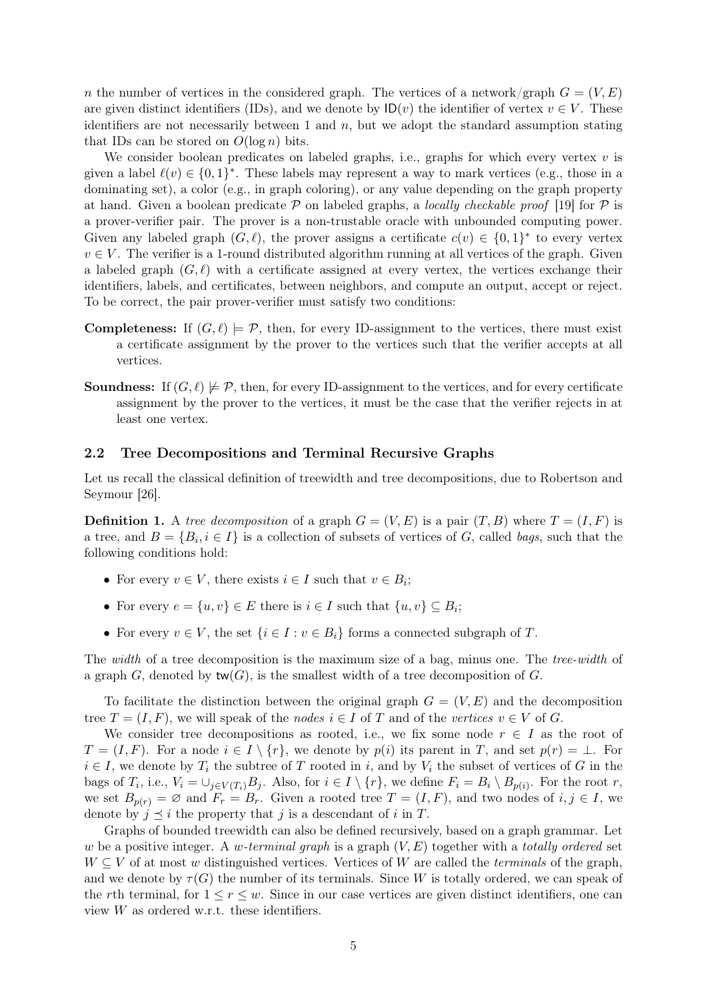n the number of vertices in the considered graph. The vertices of a network/graph  $G = (V, E)$ are given distinct identifiers (IDs), and we denote by  $\mathsf{ID}(v)$  the identifier of vertex  $v \in V$ . These identifiers are not necessarily between 1 and  $n$ , but we adopt the standard assumption stating that IDs can be stored on  $O(\log n)$  bits.

We consider boolean predicates on labeled graphs, i.e., graphs for which every vertex  $v$  is given a label  $\ell(v) \in \{0,1\}^*$ . These labels may represent a way to mark vertices (e.g., those in a dominating set), a color (e.g., in graph coloring), or any value depending on the graph property at hand. Given a boolean predicate  $P$  on labeled graphs, a *locally checkable proof* [19] for  $P$  is a prover-verifier pair. The prover is a non-trustable oracle with unbounded computing power. Given any labeled graph  $(G, \ell)$ , the prover assigns a certificate  $c(v) \in \{0,1\}^*$  to every vertex  $v \in V$ . The verifier is a 1-round distributed algorithm running at all vertices of the graph. Given a labeled graph  $(G, \ell)$  with a certificate assigned at every vertex, the vertices exchange their identifiers, labels, and certificates, between neighbors, and compute an output, accept or reject. To be correct, the pair prover-verifier must satisfy two conditions:

- **Completeness:** If  $(G, \ell) \models \mathcal{P}$ , then, for every ID-assignment to the vertices, there must exist a certificate assignment by the prover to the vertices such that the verifier accepts at all vertices.
- **Soundness:** If  $(G, \ell) \not\models \mathcal{P}$ , then, for every ID-assignment to the vertices, and for every certificate assignment by the prover to the vertices, it must be the case that the verifier rejects in at least one vertex.

#### 2.2 Tree Decompositions and Terminal Recursive Graphs

Let us recall the classical definition of treewidth and tree decompositions, due to Robertson and Seymour [26].

**Definition 1.** A tree decomposition of a graph  $G = (V, E)$  is a pair  $(T, B)$  where  $T = (I, F)$  is a tree, and  $B = \{B_i, i \in I\}$  is a collection of subsets of vertices of G, called bags, such that the following conditions hold:

- For every  $v \in V$ , there exists  $i \in I$  such that  $v \in B_i$ ;
- For every  $e = \{u, v\} \in E$  there is  $i \in I$  such that  $\{u, v\} \subseteq B_i$ ;
- For every  $v \in V$ , the set  $\{i \in I : v \in B_i\}$  forms a connected subgraph of T.

The width of a tree decomposition is the maximum size of a bag, minus one. The tree-width of a graph G, denoted by  $tw(G)$ , is the smallest width of a tree decomposition of G.

To facilitate the distinction between the original graph  $G = (V, E)$  and the decomposition tree  $T = (I, F)$ , we will speak of the nodes  $i \in I$  of T and of the vertices  $v \in V$  of G.

We consider tree decompositions as rooted, i.e., we fix some node  $r \in I$  as the root of  $T = (I, F)$ . For a node  $i \in I \setminus \{r\}$ , we denote by  $p(i)$  its parent in T, and set  $p(r) = \bot$ . For  $i \in I$ , we denote by  $T_i$  the subtree of T rooted in i, and by  $V_i$  the subset of vertices of G in the bags of  $T_i$ , i.e.,  $V_i = \bigcup_{j \in V(T_i)} B_j$ . Also, for  $i \in I \setminus \{r\}$ , we define  $F_i = B_i \setminus B_{p(i)}$ . For the root r, we set  $B_{p(r)} = \emptyset$  and  $F_r = B_r$ . Given a rooted tree  $T = (I, F)$ , and two nodes of  $i, j \in I$ , we denote by  $j \preceq i$  the property that j is a descendant of i in T.

Graphs of bounded treewidth can also be defined recursively, based on a graph grammar. Let w be a positive integer. A w-terminal graph is a graph  $(V, E)$  together with a totally ordered set  $W \subseteq V$  of at most w distinguished vertices. Vertices of W are called the *terminals* of the graph, and we denote by  $\tau(G)$  the number of its terminals. Since W is totally ordered, we can speak of the rth terminal, for  $1 \le r \le w$ . Since in our case vertices are given distinct identifiers, one can view  $W$  as ordered w.r.t. these identifiers.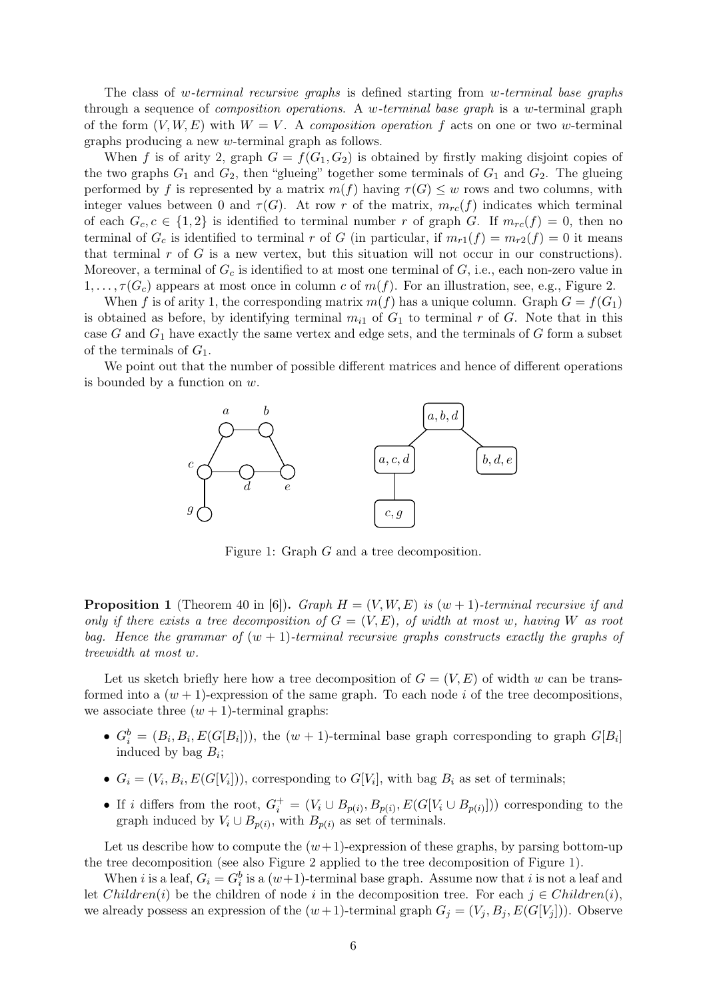The class of w-terminal recursive graphs is defined starting from w-terminal base graphs through a sequence of *composition operations.* A w-terminal base graph is a w-terminal graph of the form  $(V, W, E)$  with  $W = V$ . A composition operation f acts on one or two w-terminal graphs producing a new w-terminal graph as follows.

When f is of arity 2, graph  $G = f(G_1, G_2)$  is obtained by firstly making disjoint copies of the two graphs  $G_1$  and  $G_2$ , then "glueing" together some terminals of  $G_1$  and  $G_2$ . The glueing performed by f is represented by a matrix  $m(f)$  having  $\tau(G) \leq w$  rows and two columns, with integer values between 0 and  $\tau(G)$ . At row r of the matrix,  $m_{rc}(f)$  indicates which terminal of each  $G_c$ ,  $c \in \{1,2\}$  is identified to terminal number r of graph G. If  $m_{rc}(f) = 0$ , then no terminal of  $G_c$  is identified to terminal r of G (in particular, if  $m_{r1}(f) = m_{r2}(f) = 0$  it means that terminal  $r$  of  $G$  is a new vertex, but this situation will not occur in our constructions). Moreover, a terminal of  $G_c$  is identified to at most one terminal of  $G$ , i.e., each non-zero value in  $1, \ldots, \tau(G_c)$  appears at most once in column c of  $m(f)$ . For an illustration, see, e.g., Figure 2.

When f is of arity 1, the corresponding matrix  $m(f)$  has a unique column. Graph  $G = f(G_1)$ is obtained as before, by identifying terminal  $m_{i1}$  of  $G_1$  to terminal r of G. Note that in this case  $G$  and  $G_1$  have exactly the same vertex and edge sets, and the terminals of  $G$  form a subset of the terminals of  $G_1$ .

We point out that the number of possible different matrices and hence of different operations is bounded by a function on  $w$ .



Figure 1: Graph G and a tree decomposition.

**Proposition 1** (Theorem 40 in [6]). Graph  $H = (V, W, E)$  is  $(w + 1)$ -terminal recursive if and only if there exists a tree decomposition of  $G = (V, E)$ , of width at most w, having W as root bag. Hence the grammar of  $(w + 1)$ -terminal recursive graphs constructs exactly the graphs of treewidth at most w.

Let us sketch briefly here how a tree decomposition of  $G = (V, E)$  of width w can be transformed into a  $(w + 1)$ -expression of the same graph. To each node i of the tree decompositions, we associate three  $(w + 1)$ -terminal graphs:

- $G_i^b = (B_i, B_i, E(G[B_i]))$ , the  $(w + 1)$ -terminal base graph corresponding to graph  $G[B_i]$ induced by bag  $B_i$ ;
- $G_i = (V_i, B_i, E(G[V_i]))$ , corresponding to  $G[V_i]$ , with bag  $B_i$  as set of terminals;
- If i differs from the root,  $G_i^+ = (V_i \cup B_{p(i)}, B_{p(i)}, E(G[V_i \cup B_{p(i)}]))$  corresponding to the graph induced by  $V_i \cup B_{p(i)}$ , with  $B_{p(i)}$  as set of terminals.

Let us describe how to compute the  $(w+1)$ -expression of these graphs, by parsing bottom-up the tree decomposition (see also Figure 2 applied to the tree decomposition of Figure 1).

When *i* is a leaf,  $G_i = G_i^b$  is a  $(w+1)$ -terminal base graph. Assume now that *i* is not a leaf and let Children(i) be the children of node i in the decomposition tree. For each  $j \in Children(i)$ , we already possess an expression of the  $(w+1)$ -terminal graph  $G_j = (V_j, B_j, E(G[V_j]))$ . Observe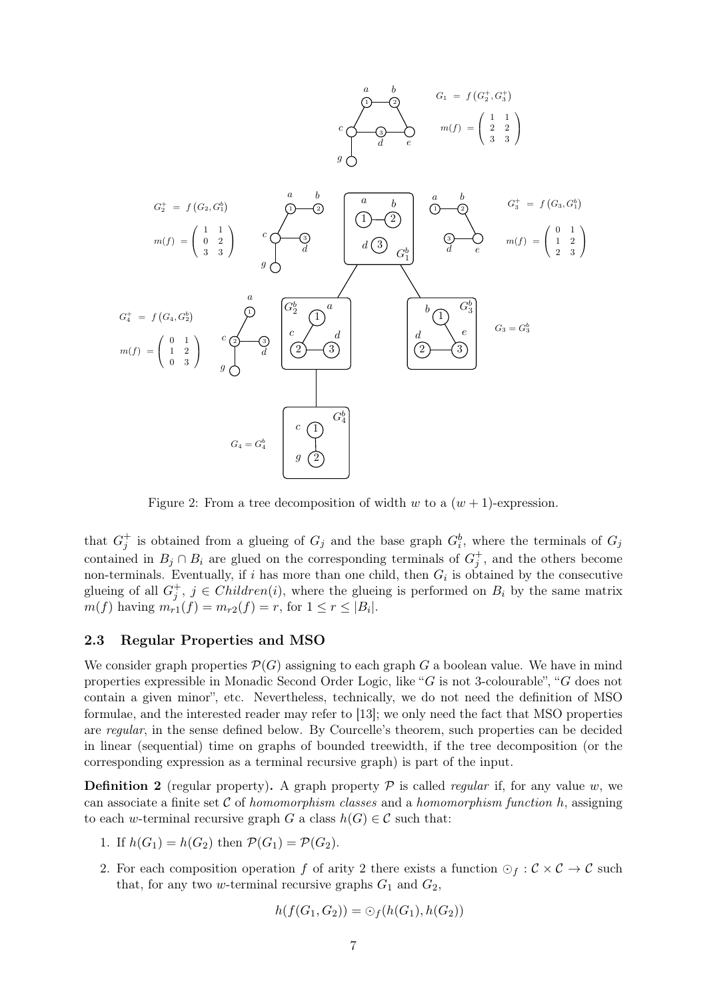

Figure 2: From a tree decomposition of width w to a  $(w + 1)$ -expression.

that  $G_j^+$  is obtained from a glueing of  $G_j$  and the base graph  $G_i^b$ , where the terminals of  $G_j$ contained in  $B_j \cap B_i$  are glued on the corresponding terminals of  $G_j^+$ , and the others become non-terminals. Eventually, if i has more than one child, then  $G_i$  is obtained by the consecutive glueing of all  $G_j^+$ ,  $j \in Children(i)$ , where the glueing is performed on  $B_i$  by the same matrix  $m(f)$  having  $m_{r1}(f) = m_{r2}(f) = r$ , for  $1 \le r \le |B_i|$ .

### 2.3 Regular Properties and MSO

We consider graph properties  $\mathcal{P}(G)$  assigning to each graph G a boolean value. We have in mind properties expressible in Monadic Second Order Logic, like "G is not 3-colourable", "G does not contain a given minor", etc. Nevertheless, technically, we do not need the definition of MSO formulae, and the interested reader may refer to [13]; we only need the fact that MSO properties are regular, in the sense defined below. By Courcelle's theorem, such properties can be decided in linear (sequential) time on graphs of bounded treewidth, if the tree decomposition (or the corresponding expression as a terminal recursive graph) is part of the input.

**Definition 2** (regular property). A graph property  $P$  is called *regular* if, for any value w, we can associate a finite set C of homomorphism classes and a homomorphism function  $h$ , assigning to each w-terminal recursive graph G a class  $h(G) \in \mathcal{C}$  such that:

- 1. If  $h(G_1) = h(G_2)$  then  $\mathcal{P}(G_1) = \mathcal{P}(G_2)$ .
- 2. For each composition operation f of arity 2 there exists a function  $\odot_f : \mathcal{C} \times \mathcal{C} \to \mathcal{C}$  such that, for any two w-terminal recursive graphs  $G_1$  and  $G_2$ ,

$$
h(f(G_1, G_2)) = \bigcirc_f(h(G_1), h(G_2))
$$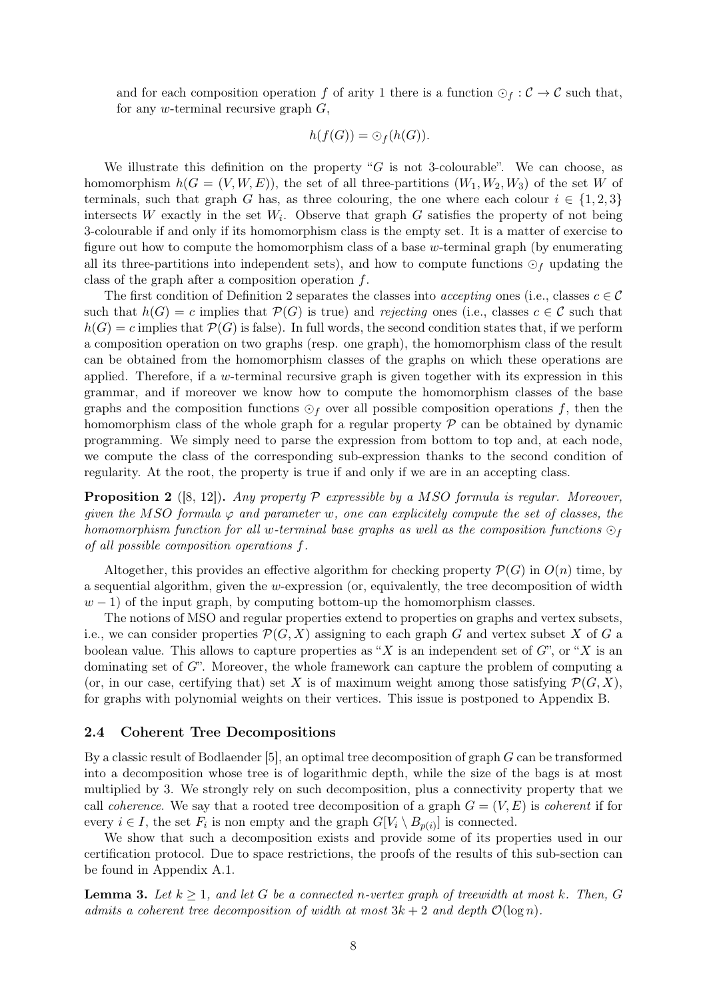and for each composition operation f of arity 1 there is a function  $\odot_f : C \to C$  such that, for any w-terminal recursive graph  $G$ ,

$$
h(f(G))=\bigcirc_f(h(G)).
$$

We illustrate this definition on the property "G is not 3-colourable". We can choose, as homomorphism  $h(G = (V, W, E))$ , the set of all three-partitions  $(W_1, W_2, W_3)$  of the set W of terminals, such that graph G has, as three colouring, the one where each colour  $i \in \{1,2,3\}$ intersects W exactly in the set  $W_i$ . Observe that graph G satisfies the property of not being 3-colourable if and only if its homomorphism class is the empty set. It is a matter of exercise to figure out how to compute the homomorphism class of a base w-terminal graph (by enumerating all its three-partitions into independent sets), and how to compute functions  $\odot_f$  updating the class of the graph after a composition operation f.

The first condition of Definition 2 separates the classes into accepting ones (i.e., classes  $c \in \mathcal{C}$ such that  $h(G) = c$  implies that  $\mathcal{P}(G)$  is true) and rejecting ones (i.e., classes  $c \in \mathcal{C}$  such that  $h(G) = c$  implies that  $\mathcal{P}(G)$  is false). In full words, the second condition states that, if we perform a composition operation on two graphs (resp. one graph), the homomorphism class of the result can be obtained from the homomorphism classes of the graphs on which these operations are applied. Therefore, if a w-terminal recursive graph is given together with its expression in this grammar, and if moreover we know how to compute the homomorphism classes of the base graphs and the composition functions  $\odot_f$  over all possible composition operations f, then the homomorphism class of the whole graph for a regular property  $P$  can be obtained by dynamic programming. We simply need to parse the expression from bottom to top and, at each node, we compute the class of the corresponding sub-expression thanks to the second condition of regularity. At the root, the property is true if and only if we are in an accepting class.

**Proposition 2** ([8, 12]). Any property  $P$  expressible by a MSO formula is regular. Moreover, given the MSO formula  $\varphi$  and parameter w, one can explicitely compute the set of classes, the homomorphism function for all w-terminal base graphs as well as the composition functions  $\odot$ of all possible composition operations f.

Altogether, this provides an effective algorithm for checking property  $\mathcal{P}(G)$  in  $O(n)$  time, by a sequential algorithm, given the w-expression (or, equivalently, the tree decomposition of width  $w - 1$ ) of the input graph, by computing bottom-up the homomorphism classes.

The notions of MSO and regular properties extend to properties on graphs and vertex subsets, i.e., we can consider properties  $\mathcal{P}(G, X)$  assigning to each graph G and vertex subset X of G a boolean value. This allows to capture properties as "X is an independent set of  $G$ ", or "X is an dominating set of G". Moreover, the whole framework can capture the problem of computing a (or, in our case, certifying that) set X is of maximum weight among those satisfying  $\mathcal{P}(G, X)$ , for graphs with polynomial weights on their vertices. This issue is postponed to Appendix B.

#### 2.4 Coherent Tree Decompositions

By a classic result of Bodlaender  $[5]$ , an optimal tree decomposition of graph  $G$  can be transformed into a decomposition whose tree is of logarithmic depth, while the size of the bags is at most multiplied by 3. We strongly rely on such decomposition, plus a connectivity property that we call *coherence*. We say that a rooted tree decomposition of a graph  $G = (V, E)$  is *coherent* if for every  $i \in I$ , the set  $F_i$  is non empty and the graph  $G[V_i \setminus B_{p(i)}]$  is connected.

We show that such a decomposition exists and provide some of its properties used in our certification protocol. Due to space restrictions, the proofs of the results of this sub-section can be found in Appendix A.1.

**Lemma 3.** Let  $k > 1$ , and let G be a connected n-vertex graph of treewidth at most k. Then, G admits a coherent tree decomposition of width at most  $3k + 2$  and depth  $\mathcal{O}(\log n)$ .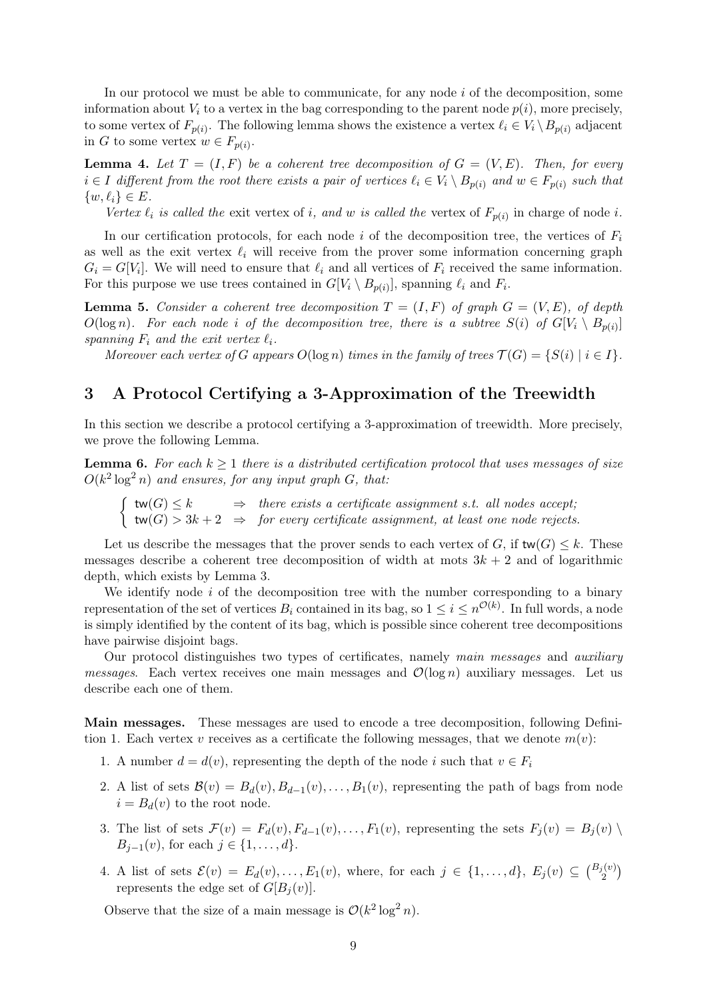In our protocol we must be able to communicate, for any node  $i$  of the decomposition, some information about  $V_i$  to a vertex in the bag corresponding to the parent node  $p(i)$ , more precisely, to some vertex of  $F_{p(i)}$ . The following lemma shows the existence a vertex  $\ell_i \in V_i \setminus B_{p(i)}$  adjacent in G to some vertex  $w \in F_{p(i)}$ .

**Lemma 4.** Let  $T = (I, F)$  be a coherent tree decomposition of  $G = (V, E)$ . Then, for every  $i \in I$  different from the root there exists a pair of vertices  $\ell_i \in V_i \setminus B_{p(i)}$  and  $w \in F_{p(i)}$  such that  $\{w, \ell_i\} \in E.$ 

Vertex  $\ell_i$  is called the exit vertex of i, and w is called the vertex of  $F_{p(i)}$  in charge of node i.

In our certification protocols, for each node i of the decomposition tree, the vertices of  $F_i$ as well as the exit vertex  $\ell_i$  will receive from the prover some information concerning graph  $G_i = G[V_i]$ . We will need to ensure that  $\ell_i$  and all vertices of  $F_i$  received the same information. For this purpose we use trees contained in  $G[V_i \setminus B_{p(i)}]$ , spanning  $\ell_i$  and  $F_i$ .

**Lemma 5.** Consider a coherent tree decomposition  $T = (I, F)$  of graph  $G = (V, E)$ , of depth  $O(\log n)$ . For each node i of the decomposition tree, there is a subtree  $S(i)$  of  $G[V_i \setminus B_{p(i)}]$ spanning  $F_i$  and the exit vertex  $\ell_i$ .

Moreover each vertex of G appears  $O(\log n)$  times in the family of trees  $\mathcal{T}(G) = \{S(i) | i \in I\}$ .

## 3 A Protocol Certifying a 3-Approximation of the Treewidth

In this section we describe a protocol certifying a 3-approximation of treewidth. More precisely, we prove the following Lemma.

**Lemma 6.** For each  $k \geq 1$  there is a distributed certification protocol that uses messages of size  $O(k^2 \log^2 n)$  and ensures, for any input graph G, that:

 $\int tw(G) \leq k$   $\Rightarrow$  there exists a certificate assignment s.t. all nodes accept;  $\mathsf{tw}(G) > 3k+2 \Rightarrow$  for every certificate assignment, at least one node rejects.

Let us describe the messages that the prover sends to each vertex of G, if  $tw(G) \leq k$ . These messages describe a coherent tree decomposition of width at mots  $3k + 2$  and of logarithmic depth, which exists by Lemma 3.

We identify node  $i$  of the decomposition tree with the number corresponding to a binary representation of the set of vertices  $B_i$  contained in its bag, so  $1 \leq i \leq n^{\mathcal{O}(k)}$ . In full words, a node is simply identified by the content of its bag, which is possible since coherent tree decompositions have pairwise disjoint bags.

Our protocol distinguishes two types of certificates, namely main messages and auxiliary *messages.* Each vertex receives one main messages and  $\mathcal{O}(\log n)$  auxiliary messages. Let us describe each one of them.

Main messages. These messages are used to encode a tree decomposition, following Definition 1. Each vertex v receives as a certificate the following messages, that we denote  $m(v)$ :

- 1. A number  $d = d(v)$ , representing the depth of the node i such that  $v \in F_i$
- 2. A list of sets  $\mathcal{B}(v) = B_d(v), B_{d-1}(v), \ldots, B_1(v)$ , representing the path of bags from node  $i = B_d(v)$  to the root node.
- 3. The list of sets  $\mathcal{F}(v) = F_d(v), F_{d-1}(v), \ldots, F_1(v)$ , representing the sets  $F_j(v) = B_j(v) \setminus F_j(v)$  $B_{j-1}(v)$ , for each  $j \in \{1, ..., d\}$ .
- 4. A list of sets  $\mathcal{E}(v) = E_d(v), \ldots, E_1(v)$ , where, for each  $j \in \{1, \ldots, d\}, E_j(v) \subseteq {B_j(v) \choose 2}$ represents the edge set of  $G[B_i(v)]$ .

Observe that the size of a main message is  $\mathcal{O}(k^2 \log^2 n)$ .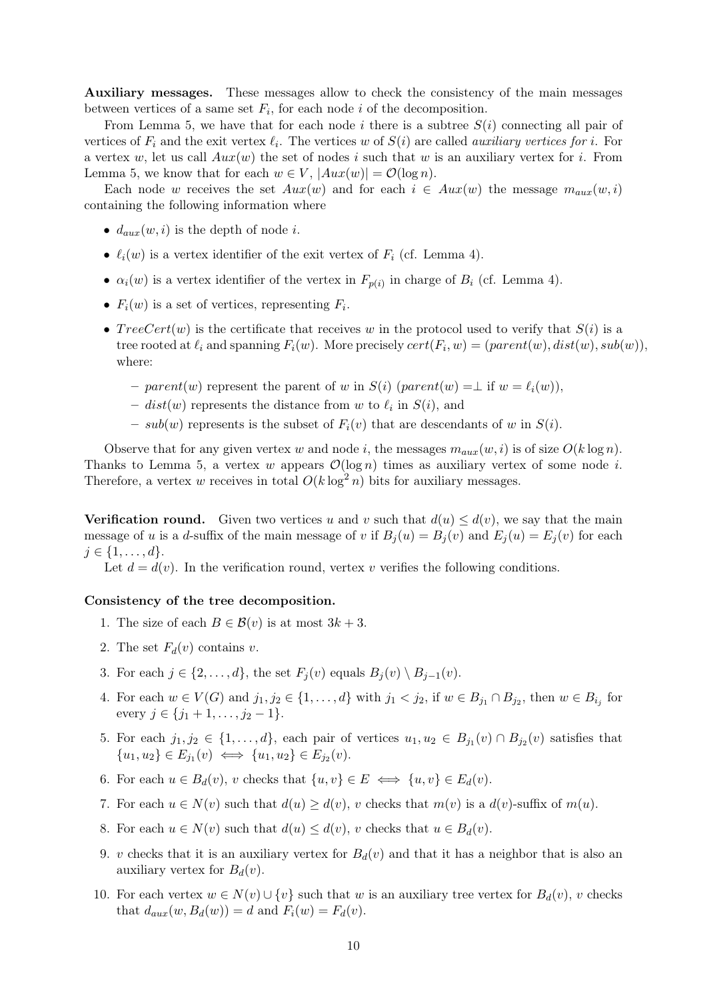Auxiliary messages. These messages allow to check the consistency of the main messages between vertices of a same set  $F_i$ , for each node i of the decomposition.

From Lemma 5, we have that for each node i there is a subtree  $S(i)$  connecting all pair of vertices of  $F_i$  and the exit vertex  $\ell_i$ . The vertices w of  $S(i)$  are called *auxiliary vertices for i*. For a vertex w, let us call  $Aux(w)$  the set of nodes i such that w is an auxiliary vertex for i. From Lemma 5, we know that for each  $w \in V$ ,  $|Aux(w)| = \mathcal{O}(\log n)$ .

Each node w receives the set  $Aux(w)$  and for each  $i \in Aux(w)$  the message  $m_{aux}(w, i)$ containing the following information where

- $d_{aux}(w, i)$  is the depth of node *i*.
- $\ell_i(w)$  is a vertex identifier of the exit vertex of  $F_i$  (cf. Lemma 4).
- $\alpha_i(w)$  is a vertex identifier of the vertex in  $F_{p(i)}$  in charge of  $B_i$  (cf. Lemma 4).
- $F_i(w)$  is a set of vertices, representing  $F_i$ .
- TreeCert $(w)$  is the certificate that receives w in the protocol used to verify that  $S(i)$  is a tree rooted at  $\ell_i$  and spanning  $F_i(w)$ . More precisely  $cert(F_i, w) = (parent(w), dist(w), sub(w)),$ where:
	- parent(w) represent the parent of w in  $S(i)$  (parent(w) =  $\perp$  if  $w = \ell_i(w)$ ),
	- dist $(w)$  represents the distance from w to  $\ell_i$  in  $S(i)$ , and
	- $sub(w)$  represents is the subset of  $F_i(v)$  that are descendants of w in  $S(i)$ .

Observe that for any given vertex w and node i, the messages  $m_{aux}(w, i)$  is of size  $O(k \log n)$ . Thanks to Lemma 5, a vertex w appears  $\mathcal{O}(\log n)$  times as auxiliary vertex of some node i. Therefore, a vertex w receives in total  $O(k \log^2 n)$  bits for auxiliary messages.

**Verification round.** Given two vertices u and v such that  $d(u) \leq d(v)$ , we say that the main message of u is a d-suffix of the main message of v if  $B_j(u) = B_j(v)$  and  $E_j(u) = E_j(v)$  for each  $j \in \{1, \ldots, d\}.$ 

Let  $d = d(v)$ . In the verification round, vertex v verifies the following conditions.

#### Consistency of the tree decomposition.

- 1. The size of each  $B \in \mathcal{B}(v)$  is at most  $3k+3$ .
- 2. The set  $F_d(v)$  contains v.
- 3. For each  $j \in \{2, \ldots, d\}$ , the set  $F_i(v)$  equals  $B_i(v) \setminus B_{i-1}(v)$ .
- 4. For each  $w \in V(G)$  and  $j_1, j_2 \in \{1, \ldots, d\}$  with  $j_1 < j_2$ , if  $w \in B_{j_1} \cap B_{j_2}$ , then  $w \in B_{i_j}$  for every  $j \in \{j_1 + 1, \ldots, j_2 - 1\}.$
- 5. For each  $j_1, j_2 \in \{1, \ldots, d\}$ , each pair of vertices  $u_1, u_2 \in B_{j_1}(v) \cap B_{j_2}(v)$  satisfies that  $\{u_1, u_2\} \in E_{j_1}(v) \iff \{u_1, u_2\} \in E_{j_2}(v).$
- 6. For each  $u \in B_d(v)$ , v checks that  $\{u, v\} \in E \iff \{u, v\} \in E_d(v)$ .
- 7. For each  $u \in N(v)$  such that  $d(u) \geq d(v)$ , v checks that  $m(v)$  is a  $d(v)$ -suffix of  $m(u)$ .
- 8. For each  $u \in N(v)$  such that  $d(u) \leq d(v)$ , v checks that  $u \in B_d(v)$ .
- 9. v checks that it is an auxiliary vertex for  $B_d(v)$  and that it has a neighbor that is also an auxiliary vertex for  $B_d(v)$ .
- 10. For each vertex  $w \in N(v) \cup \{v\}$  such that w is an auxiliary tree vertex for  $B_d(v)$ , v checks that  $d_{aux}(w, B_d(w)) = d$  and  $F_i(w) = F_d(v)$ .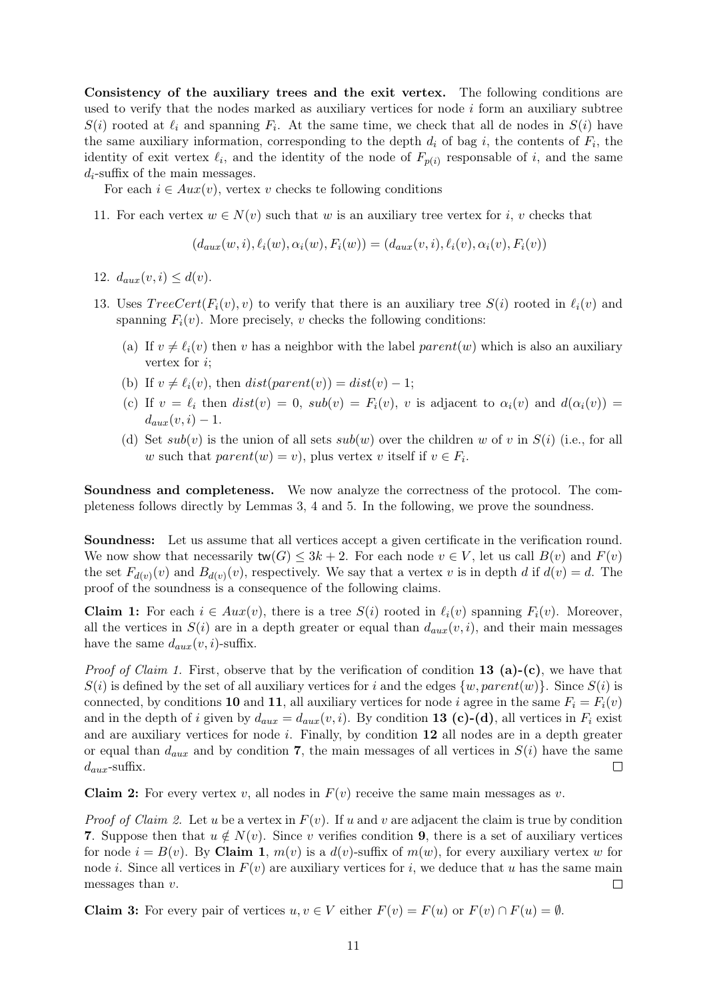Consistency of the auxiliary trees and the exit vertex. The following conditions are used to verify that the nodes marked as auxiliary vertices for node  $i$  form an auxiliary subtree  $S(i)$  rooted at  $\ell_i$  and spanning  $F_i$ . At the same time, we check that all de nodes in  $S(i)$  have the same auxiliary information, corresponding to the depth  $d_i$  of bag i, the contents of  $F_i$ , the identity of exit vertex  $\ell_i$ , and the identity of the node of  $F_{p(i)}$  responsable of i, and the same  $d_i$ -suffix of the main messages.

For each  $i \in Aux(v)$ , vertex v checks te following conditions

11. For each vertex  $w \in N(v)$  such that w is an auxiliary tree vertex for i, v checks that

$$
(d_{aux}(w,i), \ell_i(w), \alpha_i(w), F_i(w)) = (d_{aux}(v,i), \ell_i(v), \alpha_i(v), F_i(v))
$$

12.  $d_{aux}(v, i) \leq d(v)$ .

- 13. Uses  $TreeCert(F_i(v), v)$  to verify that there is an auxiliary tree  $S(i)$  rooted in  $\ell_i(v)$  and spanning  $F_i(v)$ . More precisely, v checks the following conditions:
	- (a) If  $v \neq \ell_i(v)$  then v has a neighbor with the label parent(w) which is also an auxiliary vertex for i;
	- (b) If  $v \neq \ell_i(v)$ , then  $dist(parent(v)) = dist(v) 1;$
	- (c) If  $v = \ell_i$  then  $dist(v) = 0$ ,  $sub(v) = F_i(v)$ , v is adjacent to  $\alpha_i(v)$  and  $d(\alpha_i(v)) =$  $d_{aux}(v, i) - 1.$
	- (d) Set  $sub(v)$  is the union of all sets  $sub(w)$  over the children w of v in  $S(i)$  (i.e., for all w such that  $parent(w) = v$ , plus vertex v itself if  $v \in F_i$ .

Soundness and completeness. We now analyze the correctness of the protocol. The completeness follows directly by Lemmas 3, 4 and 5. In the following, we prove the soundness.

Soundness: Let us assume that all vertices accept a given certificate in the verification round. We now show that necessarily  $tw(G) \leq 3k + 2$ . For each node  $v \in V$ , let us call  $B(v)$  and  $F(v)$ the set  $F_{d(v)}(v)$  and  $B_{d(v)}(v)$ , respectively. We say that a vertex v is in depth d if  $d(v) = d$ . The proof of the soundness is a consequence of the following claims.

**Claim 1:** For each  $i \in Aux(v)$ , there is a tree  $S(i)$  rooted in  $\ell_i(v)$  spanning  $F_i(v)$ . Moreover, all the vertices in  $S(i)$  are in a depth greater or equal than  $d_{aux}(v, i)$ , and their main messages have the same  $d_{aux}(v, i)$ -suffix.

*Proof of Claim 1.* First, observe that by the verification of condition 13 (a)-(c), we have that  $S(i)$  is defined by the set of all auxiliary vertices for i and the edges  $\{w, parent(w)\}$ . Since  $S(i)$  is connected, by conditions 10 and 11, all auxiliary vertices for node i agree in the same  $F_i = F_i(v)$ and in the depth of i given by  $d_{aux} = d_{aux}(v, i)$ . By condition 13 (c)-(d), all vertices in  $F_i$  exist and are auxiliary vertices for node  $i$ . Finally, by condition 12 all nodes are in a depth greater or equal than  $d_{aux}$  and by condition 7, the main messages of all vertices in  $S(i)$  have the same  $\Box$  $d_{aux}$ -suffix.

**Claim 2:** For every vertex v, all nodes in  $F(v)$  receive the same main messages as v.

*Proof of Claim 2.* Let u be a vertex in  $F(v)$ . If u and v are adjacent the claim is true by condition 7. Suppose then that  $u \notin N(v)$ . Since v verifies condition 9, there is a set of auxiliary vertices for node  $i = B(v)$ . By Claim 1,  $m(v)$  is a  $d(v)$ -suffix of  $m(w)$ , for every auxiliary vertex w for node *i*. Since all vertices in  $F(v)$  are auxiliary vertices for *i*, we deduce that *u* has the same main messages than  $v$ .  $\Box$ 

**Claim 3:** For every pair of vertices  $u, v \in V$  either  $F(v) = F(u)$  or  $F(v) \cap F(u) = \emptyset$ .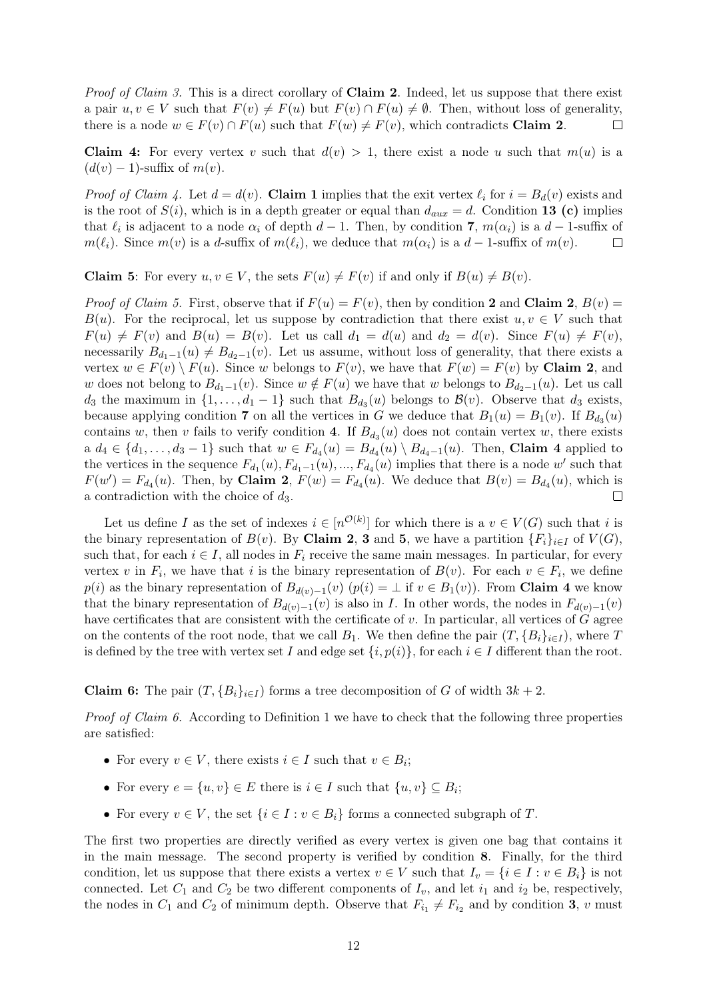*Proof of Claim 3.* This is a direct corollary of **Claim 2**. Indeed, let us suppose that there exist a pair  $u, v \in V$  such that  $F(v) \neq F(u)$  but  $F(v) \cap F(u) \neq \emptyset$ . Then, without loss of generality, there is a node  $w \in F(v) \cap F(u)$  such that  $F(w) \neq F(v)$ , which contradicts **Claim 2**.  $\Box$ 

**Claim 4:** For every vertex v such that  $d(v) > 1$ , there exist a node u such that  $m(u)$  is a  $(d(v) - 1)$ -suffix of  $m(v)$ .

*Proof of Claim 4.* Let  $d = d(v)$ . Claim 1 implies that the exit vertex  $\ell_i$  for  $i = B_d(v)$  exists and is the root of  $S(i)$ , which is in a depth greater or equal than  $d_{aux} = d$ . Condition 13 (c) implies that  $\ell_i$  is adjacent to a node  $\alpha_i$  of depth  $d - 1$ . Then, by condition 7,  $m(\alpha_i)$  is a  $d - 1$ -suffix of  $m(\ell_i)$ . Since  $m(v)$  is a d-suffix of  $m(\ell_i)$ , we deduce that  $m(\alpha_i)$  is a  $d - 1$ -suffix of  $m(v)$ .  $\Box$ 

**Claim 5:** For every  $u, v \in V$ , the sets  $F(u) \neq F(v)$  if and only if  $B(u) \neq B(v)$ .

*Proof of Claim 5.* First, observe that if  $F(u) = F(v)$ , then by condition 2 and Claim 2,  $B(v) =$  $B(u)$ . For the reciprocal, let us suppose by contradiction that there exist  $u, v \in V$  such that  $F(u) \neq F(v)$  and  $B(u) = B(v)$ . Let us call  $d_1 = d(u)$  and  $d_2 = d(v)$ . Since  $F(u) \neq F(v)$ , necessarily  $B_{d_1-1}(u) \neq B_{d_2-1}(v)$ . Let us assume, without loss of generality, that there exists a vertex  $w \in F(v) \setminus F(u)$ . Since w belongs to  $F(v)$ , we have that  $F(w) = F(v)$  by Claim 2, and w does not belong to  $B_{d_1-1}(v)$ . Since  $w \notin F(u)$  we have that w belongs to  $B_{d_2-1}(u)$ . Let us call d<sub>3</sub> the maximum in  $\{1, \ldots, d_1 - 1\}$  such that  $B_{d_3}(u)$  belongs to  $\mathcal{B}(v)$ . Observe that  $d_3$  exists, because applying condition 7 on all the vertices in G we deduce that  $B_1(u) = B_1(v)$ . If  $B_{d_3}(u)$ contains w, then v fails to verify condition 4. If  $B_{d_3}(u)$  does not contain vertex w, there exists a  $d_4 \in \{d_1, \ldots, d_3 - 1\}$  such that  $w \in F_{d_4}(u) = B_{d_4}(u) \setminus B_{d_4-1}(u)$ . Then, **Claim 4** applied to the vertices in the sequence  $F_{d_1}(u)$ ,  $F_{d_1-1}(u)$ , ...,  $F_{d_4}(u)$  implies that there is a node w' such that  $F(w') = F_{d_4}(u)$ . Then, by **Claim 2**,  $F(w) = F_{d_4}(u)$ . We deduce that  $B(v) = B_{d_4}(u)$ , which is a contradiction with the choice of  $d_3$ .  $\Box$ 

Let us define I as the set of indexes  $i \in [n^{\mathcal{O}(k)}]$  for which there is a  $v \in V(G)$  such that i is the binary representation of  $B(v)$ . By Claim 2, 3 and 5, we have a partition  $\{F_i\}_{i\in I}$  of  $V(G)$ , such that, for each  $i \in I$ , all nodes in  $F_i$  receive the same main messages. In particular, for every vertex v in  $F_i$ , we have that i is the binary representation of  $B(v)$ . For each  $v \in F_i$ , we define  $p(i)$  as the binary representation of  $B_{d(v)-1}(v)$   $(p(i) = \perp$  if  $v \in B_1(v)$ ). From **Claim 4** we know that the binary representation of  $B_{d(v)-1}(v)$  is also in I. In other words, the nodes in  $F_{d(v)-1}(v)$ have certificates that are consistent with the certificate of v. In particular, all vertices of G agree on the contents of the root node, that we call  $B_1$ . We then define the pair  $(T, {B_i}_{i\in I})$ , where T is defined by the tree with vertex set I and edge set  $\{i, p(i)\}\$ , for each  $i \in I$  different than the root.

**Claim 6:** The pair  $(T, {B_i}_{i\in I})$  forms a tree decomposition of G of width  $3k + 2$ .

Proof of Claim 6. According to Definition 1 we have to check that the following three properties are satisfied:

- For every  $v \in V$ , there exists  $i \in I$  such that  $v \in B_i$ ;
- For every  $e = \{u, v\} \in E$  there is  $i \in I$  such that  $\{u, v\} \subseteq B_i$ ;
- For every  $v \in V$ , the set  $\{i \in I : v \in B_i\}$  forms a connected subgraph of T.

The first two properties are directly verified as every vertex is given one bag that contains it in the main message. The second property is verified by condition 8. Finally, for the third condition, let us suppose that there exists a vertex  $v \in V$  such that  $I_v = \{i \in I : v \in B_i\}$  is not connected. Let  $C_1$  and  $C_2$  be two different components of  $I_v$ , and let  $i_1$  and  $i_2$  be, respectively, the nodes in  $C_1$  and  $C_2$  of minimum depth. Observe that  $F_{i_1} \neq F_{i_2}$  and by condition 3, v must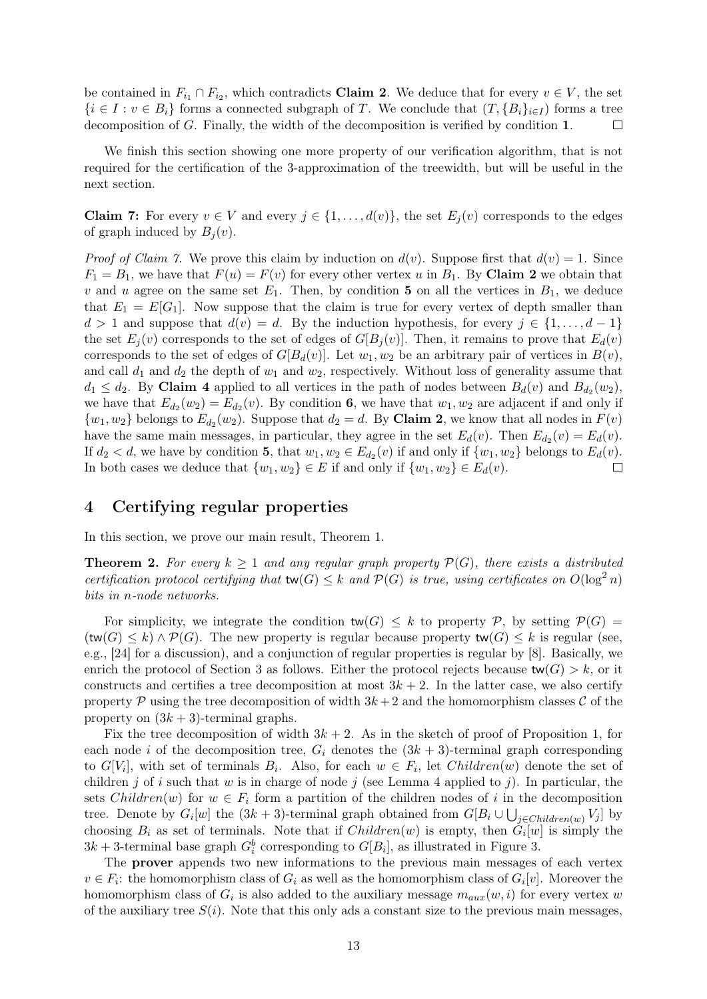be contained in  $F_{i_1} \cap F_{i_2}$ , which contradicts **Claim 2**. We deduce that for every  $v \in V$ , the set  ${i \in I : v \in B_i}$  forms a connected subgraph of T. We conclude that  $(T, {B_i}_{i\in I})$  forms a tree decomposition of G. Finally, the width of the decomposition is verified by condition 1.  $\Box$ 

We finish this section showing one more property of our verification algorithm, that is not required for the certification of the 3-approximation of the treewidth, but will be useful in the next section.

Claim 7: For every  $v \in V$  and every  $j \in \{1, \ldots, d(v)\}\)$ , the set  $E_i(v)$  corresponds to the edges of graph induced by  $B_i(v)$ .

*Proof of Claim 7.* We prove this claim by induction on  $d(v)$ . Suppose first that  $d(v) = 1$ . Since  $F_1 = B_1$ , we have that  $F(u) = F(v)$  for every other vertex u in  $B_1$ . By Claim 2 we obtain that v and u agree on the same set  $E_1$ . Then, by condition 5 on all the vertices in  $B_1$ , we deduce that  $E_1 = E[G_1]$ . Now suppose that the claim is true for every vertex of depth smaller than  $d > 1$  and suppose that  $d(v) = d$ . By the induction hypothesis, for every  $j \in \{1, \ldots, d-1\}$ the set  $E_i(v)$  corresponds to the set of edges of  $G[B_i(v)]$ . Then, it remains to prove that  $E_d(v)$ corresponds to the set of edges of  $G[B_d(v)]$ . Let  $w_1, w_2$  be an arbitrary pair of vertices in  $B(v)$ , and call  $d_1$  and  $d_2$  the depth of  $w_1$  and  $w_2$ , respectively. Without loss of generality assume that  $d_1 \leq d_2$ . By Claim 4 applied to all vertices in the path of nodes between  $B_d(v)$  and  $B_{d_2}(w_2)$ , we have that  $E_{d_2}(w_2) = E_{d_2}(v)$ . By condition 6, we have that  $w_1, w_2$  are adjacent if and only if  $\{w_1, w_2\}$  belongs to  $E_{d_2}(w_2)$ . Suppose that  $d_2 = d$ . By Claim 2, we know that all nodes in  $F(v)$ have the same main messages, in particular, they agree in the set  $E_d(v)$ . Then  $E_{d_2}(v) = E_d(v)$ . If  $d_2 < d$ , we have by condition 5, that  $w_1, w_2 \in E_{d_2}(v)$  if and only if  $\{w_1, w_2\}$  belongs to  $E_d(v)$ . In both cases we deduce that  $\{w_1, w_2\} \in E$  if and only if  $\{w_1, w_2\} \in E_d(v)$ .  $\Box$ 

## 4 Certifying regular properties

In this section, we prove our main result, Theorem 1.

**Theorem 2.** For every  $k \geq 1$  and any regular graph property  $\mathcal{P}(G)$ , there exists a distributed certification protocol certifying that  $tw(G) \leq k$  and  $\mathcal{P}(G)$  is true, using certificates on  $O(\log^2 n)$ bits in n-node networks.

For simplicity, we integrate the condition  $tw(G) \leq k$  to property P, by setting  $\mathcal{P}(G)$  =  $(\mathsf{tw}(G) \leq k) \wedge \mathcal{P}(G)$ . The new property is regular because property  $\mathsf{tw}(G) \leq k$  is regular (see, e.g., [24] for a discussion), and a conjunction of regular properties is regular by [8]. Basically, we enrich the protocol of Section 3 as follows. Either the protocol rejects because  $tw(G) > k$ , or it constructs and certifies a tree decomposition at most  $3k + 2$ . In the latter case, we also certify property P using the tree decomposition of width  $3k+2$  and the homomorphism classes C of the property on  $(3k + 3)$ -terminal graphs.

Fix the tree decomposition of width  $3k + 2$ . As in the sketch of proof of Proposition 1, for each node i of the decomposition tree,  $G_i$  denotes the  $(3k + 3)$ -terminal graph corresponding to  $G[V_i]$ , with set of terminals  $B_i$ . Also, for each  $w \in F_i$ , let  $Children(w)$  denote the set of children j of i such that w is in charge of node j (see Lemma 4 applied to j). In particular, the sets Children(w) for  $w \in F_i$  form a partition of the children nodes of i in the decomposition tree. Denote by  $G_i[w]$  the  $(3k+3)$ -terminal graph obtained from  $G[B_i \cup \bigcup_{j \in Children(w)} V_j]$  by choosing  $B_i$  as set of terminals. Note that if  $Children(w)$  is empty, then  $G_i[w]$  is simply the  $3k + 3$ -terminal base graph  $G_i^b$  corresponding to  $G[B_i]$ , as illustrated in Figure 3.

The prover appends two new informations to the previous main messages of each vertex  $v \in F_i$ : the homomorphism class of  $G_i$  as well as the homomorphism class of  $G_i[v]$ . Moreover the homomorphism class of  $G_i$  is also added to the auxiliary message  $m_{aux}(w, i)$  for every vertex w of the auxiliary tree  $S(i)$ . Note that this only ads a constant size to the previous main messages,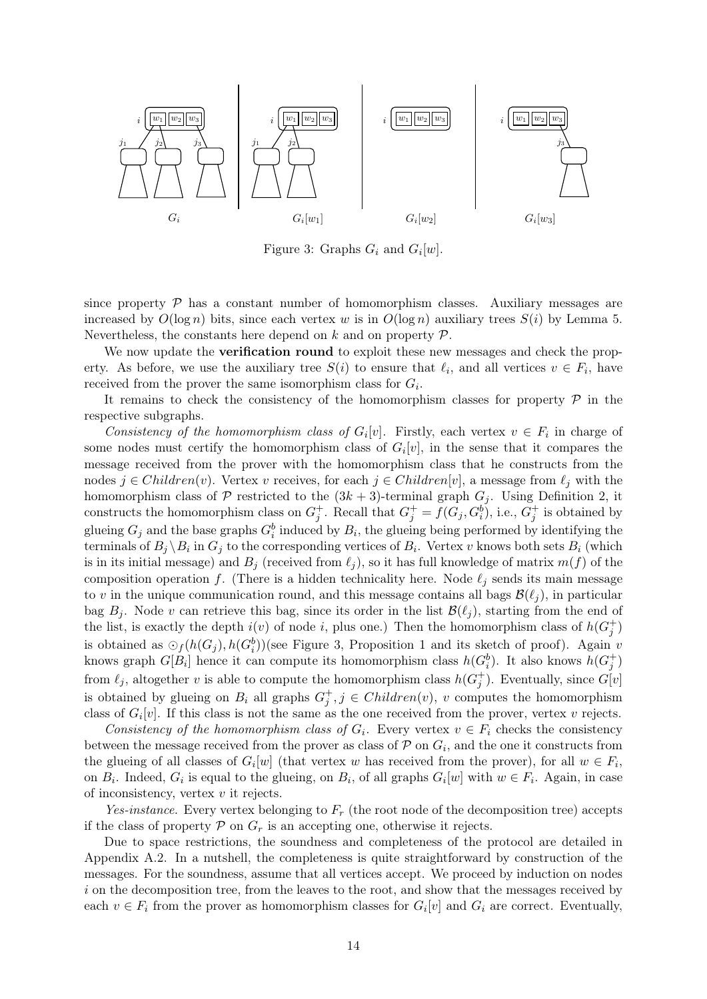

Figure 3: Graphs  $G_i$  and  $G_i[w]$ .

since property  $P$  has a constant number of homomorphism classes. Auxiliary messages are increased by  $O(\log n)$  bits, since each vertex w is in  $O(\log n)$  auxiliary trees  $S(i)$  by Lemma 5. Nevertheless, the constants here depend on k and on property  $\mathcal{P}$ .

We now update the **verification round** to exploit these new messages and check the property. As before, we use the auxiliary tree  $S(i)$  to ensure that  $\ell_i$ , and all vertices  $v \in F_i$ , have received from the prover the same isomorphism class for  $G_i$ .

It remains to check the consistency of the homomorphism classes for property  $P$  in the respective subgraphs.

Consistency of the homomorphism class of  $G_i[v]$ . Firstly, each vertex  $v \in F_i$  in charge of some nodes must certify the homomorphism class of  $G_i[v]$ , in the sense that it compares the message received from the prover with the homomorphism class that he constructs from the nodes  $j \in Children(v)$ . Vertex v receives, for each  $j \in Children[v]$ , a message from  $\ell_j$  with the homomorphism class of  $P$  restricted to the  $(3k + 3)$ -terminal graph  $G_j$ . Using Definition 2, it constructs the homomorphism class on  $G_j^+$ . Recall that  $G_j^+ = f(G_j, G_i^b)$ , i.e.,  $G_j^+$  is obtained by glueing  $G_j$  and the base graphs  $G_i^b$  induced by  $B_i$ , the glueing being performed by identifying the terminals of  $B_j \setminus B_i$  in  $G_j$  to the corresponding vertices of  $B_i$ . Vertex v knows both sets  $B_i$  (which is in its initial message) and  $B_j$  (received from  $\ell_j$ ), so it has full knowledge of matrix  $m(f)$  of the composition operation f. (There is a hidden technicality here. Node  $\ell_i$  sends its main message to v in the unique communication round, and this message contains all bags  $\mathcal{B}(\ell_i)$ , in particular bag  $B_j$ . Node v can retrieve this bag, since its order in the list  $\mathcal{B}(\ell_j)$ , starting from the end of the list, is exactly the depth  $i(v)$  of node i, plus one.) Then the homomorphism class of  $h(G_j^+)$ is obtained as  $\odot_f(h(G_j), h(G_i^b))$  (see Figure 3, Proposition 1 and its sketch of proof). Again v knows graph  $G[B_i]$  hence it can compute its homomorphism class  $h(G_i^b)$ . It also knows  $h(G_j^+)$ from  $\ell_j$ , altogether v is able to compute the homomorphism class  $h(G_j^+)$ . Eventually, since  $G[v]$ is obtained by glueing on  $B_i$  all graphs  $G_j^+, j \in Children(v)$ , v computes the homomorphism class of  $G_i[v]$ . If this class is not the same as the one received from the prover, vertex v rejects.

Consistency of the homomorphism class of  $G_i$ . Every vertex  $v \in F_i$  checks the consistency between the message received from the prover as class of  $P$  on  $G_i$ , and the one it constructs from the glueing of all classes of  $G_i[w]$  (that vertex w has received from the prover), for all  $w \in F_i$ , on  $B_i$ . Indeed,  $G_i$  is equal to the glueing, on  $B_i$ , of all graphs  $G_i[w]$  with  $w \in F_i$ . Again, in case of inconsistency, vertex  $v$  it rejects.

Yes-instance. Every vertex belonging to  $F_r$  (the root node of the decomposition tree) accepts if the class of property  $P$  on  $G_r$  is an accepting one, otherwise it rejects.

Due to space restrictions, the soundness and completeness of the protocol are detailed in Appendix A.2. In a nutshell, the completeness is quite straightforward by construction of the messages. For the soundness, assume that all vertices accept. We proceed by induction on nodes  $i$  on the decomposition tree, from the leaves to the root, and show that the messages received by each  $v \in F_i$  from the prover as homomorphism classes for  $G_i[v]$  and  $G_i$  are correct. Eventually,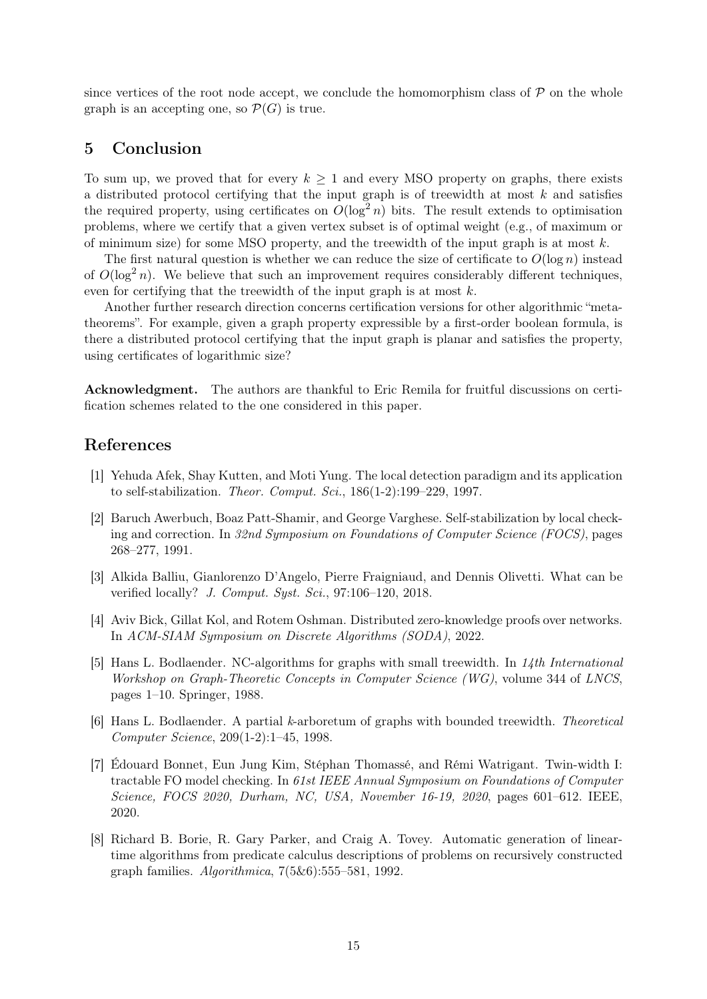since vertices of the root node accept, we conclude the homomorphism class of  $P$  on the whole graph is an accepting one, so  $\mathcal{P}(G)$  is true.

## 5 Conclusion

To sum up, we proved that for every  $k \geq 1$  and every MSO property on graphs, there exists a distributed protocol certifying that the input graph is of treewidth at most  $k$  and satisfies the required property, using certificates on  $O(\log^2 n)$  bits. The result extends to optimisation problems, where we certify that a given vertex subset is of optimal weight (e.g., of maximum or of minimum size) for some MSO property, and the treewidth of the input graph is at most  $k$ .

The first natural question is whether we can reduce the size of certificate to  $O(\log n)$  instead of  $O(\log^2 n)$ . We believe that such an improvement requires considerably different techniques, even for certifying that the treewidth of the input graph is at most  $k$ .

Another further research direction concerns certification versions for other algorithmic "metatheorems". For example, given a graph property expressible by a first-order boolean formula, is there a distributed protocol certifying that the input graph is planar and satisfies the property, using certificates of logarithmic size?

Acknowledgment. The authors are thankful to Eric Remila for fruitful discussions on certification schemes related to the one considered in this paper.

### References

- [1] Yehuda Afek, Shay Kutten, and Moti Yung. The local detection paradigm and its application to self-stabilization. Theor. Comput. Sci., 186(1-2):199–229, 1997.
- [2] Baruch Awerbuch, Boaz Patt-Shamir, and George Varghese. Self-stabilization by local checking and correction. In 32nd Symposium on Foundations of Computer Science (FOCS), pages 268–277, 1991.
- [3] Alkida Balliu, Gianlorenzo D'Angelo, Pierre Fraigniaud, and Dennis Olivetti. What can be verified locally? J. Comput. Syst. Sci., 97:106–120, 2018.
- [4] Aviv Bick, Gillat Kol, and Rotem Oshman. Distributed zero-knowledge proofs over networks. In ACM-SIAM Symposium on Discrete Algorithms (SODA), 2022.
- [5] Hans L. Bodlaender. NC-algorithms for graphs with small treewidth. In 14th International Workshop on Graph-Theoretic Concepts in Computer Science (WG), volume 344 of LNCS, pages 1–10. Springer, 1988.
- [6] Hans L. Bodlaender. A partial k-arboretum of graphs with bounded treewidth. Theoretical Computer Science, 209(1-2):1–45, 1998.
- [7] Édouard Bonnet, Eun Jung Kim, Stéphan Thomassé, and Rémi Watrigant. Twin-width I: tractable FO model checking. In 61st IEEE Annual Symposium on Foundations of Computer Science, FOCS 2020, Durham, NC, USA, November 16-19, 2020, pages 601–612. IEEE, 2020.
- [8] Richard B. Borie, R. Gary Parker, and Craig A. Tovey. Automatic generation of lineartime algorithms from predicate calculus descriptions of problems on recursively constructed graph families.  $Algorithmica$ ,  $7(5&6):555-581$ , 1992.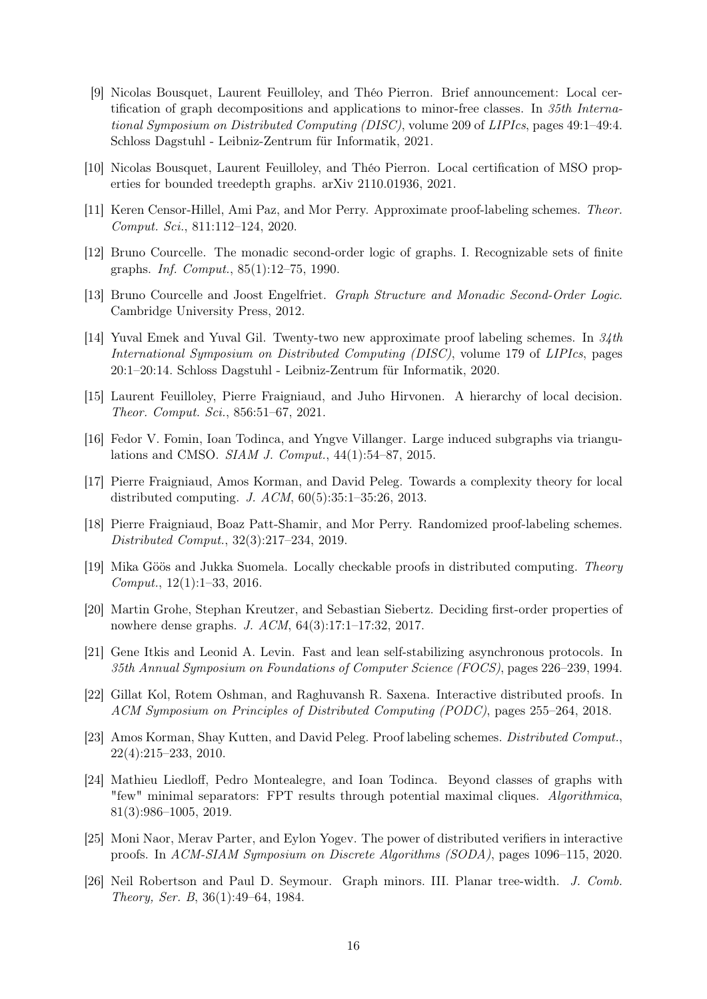- [9] Nicolas Bousquet, Laurent Feuilloley, and Théo Pierron. Brief announcement: Local certification of graph decompositions and applications to minor-free classes. In 35th International Symposium on Distributed Computing (DISC), volume 209 of LIPIcs, pages 49:1–49:4. Schloss Dagstuhl - Leibniz-Zentrum für Informatik, 2021.
- [10] Nicolas Bousquet, Laurent Feuilloley, and Théo Pierron. Local certification of MSO properties for bounded treedepth graphs. arXiv 2110.01936, 2021.
- [11] Keren Censor-Hillel, Ami Paz, and Mor Perry. Approximate proof-labeling schemes. Theor. Comput. Sci., 811:112–124, 2020.
- [12] Bruno Courcelle. The monadic second-order logic of graphs. I. Recognizable sets of finite graphs. Inf. Comput., 85(1):12–75, 1990.
- [13] Bruno Courcelle and Joost Engelfriet. Graph Structure and Monadic Second-Order Logic. Cambridge University Press, 2012.
- [14] Yuval Emek and Yuval Gil. Twenty-two new approximate proof labeling schemes. In 34th International Symposium on Distributed Computing (DISC), volume 179 of LIPIcs, pages 20:1–20:14. Schloss Dagstuhl - Leibniz-Zentrum für Informatik, 2020.
- [15] Laurent Feuilloley, Pierre Fraigniaud, and Juho Hirvonen. A hierarchy of local decision. Theor. Comput. Sci., 856:51–67, 2021.
- [16] Fedor V. Fomin, Ioan Todinca, and Yngve Villanger. Large induced subgraphs via triangulations and CMSO. SIAM J. Comput., 44(1):54–87, 2015.
- [17] Pierre Fraigniaud, Amos Korman, and David Peleg. Towards a complexity theory for local distributed computing. J. ACM, 60(5):35:1–35:26, 2013.
- [18] Pierre Fraigniaud, Boaz Patt-Shamir, and Mor Perry. Randomized proof-labeling schemes. Distributed Comput., 32(3):217–234, 2019.
- [19] Mika Göös and Jukka Suomela. Locally checkable proofs in distributed computing. Theory  $Comput., 12(1):1-33, 2016.$
- [20] Martin Grohe, Stephan Kreutzer, and Sebastian Siebertz. Deciding first-order properties of nowhere dense graphs. J. ACM, 64(3):17:1–17:32, 2017.
- [21] Gene Itkis and Leonid A. Levin. Fast and lean self-stabilizing asynchronous protocols. In 35th Annual Symposium on Foundations of Computer Science (FOCS), pages 226–239, 1994.
- [22] Gillat Kol, Rotem Oshman, and Raghuvansh R. Saxena. Interactive distributed proofs. In ACM Symposium on Principles of Distributed Computing (PODC), pages 255–264, 2018.
- [23] Amos Korman, Shay Kutten, and David Peleg. Proof labeling schemes. Distributed Comput., 22(4):215–233, 2010.
- [24] Mathieu Liedloff, Pedro Montealegre, and Ioan Todinca. Beyond classes of graphs with "few" minimal separators: FPT results through potential maximal cliques. Algorithmica, 81(3):986–1005, 2019.
- [25] Moni Naor, Merav Parter, and Eylon Yogev. The power of distributed verifiers in interactive proofs. In ACM-SIAM Symposium on Discrete Algorithms (SODA), pages 1096–115, 2020.
- [26] Neil Robertson and Paul D. Seymour. Graph minors. III. Planar tree-width. J. Comb. Theory, Ser. B, 36(1):49–64, 1984.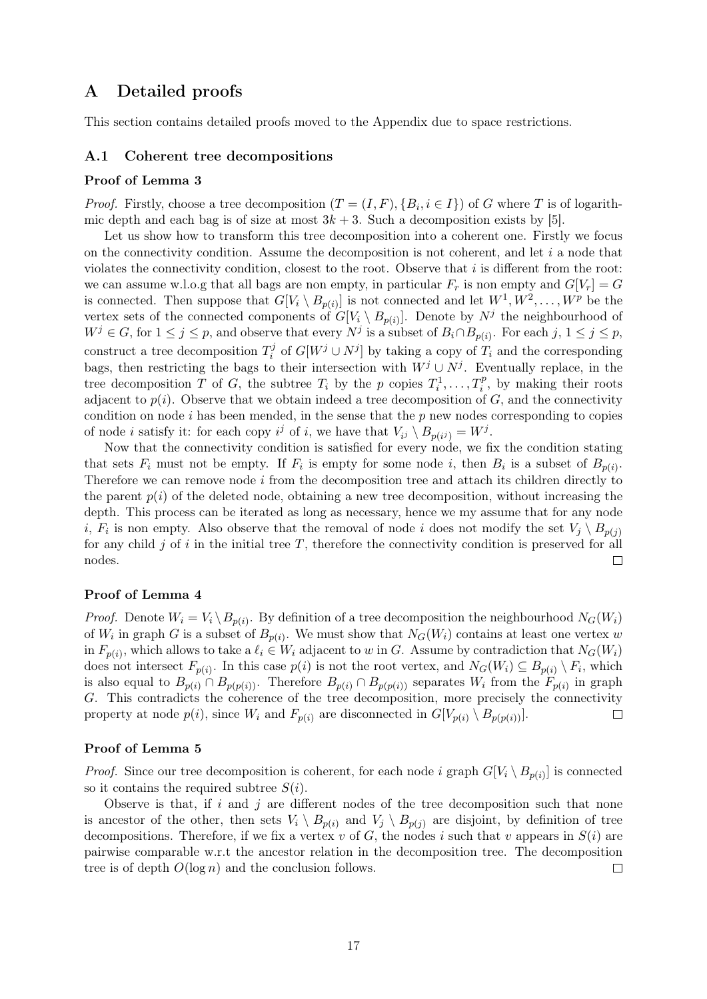## A Detailed proofs

This section contains detailed proofs moved to the Appendix due to space restrictions.

#### A.1 Coherent tree decompositions

#### Proof of Lemma 3

*Proof.* Firstly, choose a tree decomposition  $(T = (I, F), \{B_i, i \in I\})$  of G where T is of logarithmic depth and each bag is of size at most  $3k + 3$ . Such a decomposition exists by [5].

Let us show how to transform this tree decomposition into a coherent one. Firstly we focus on the connectivity condition. Assume the decomposition is not coherent, and let  $i$  a node that violates the connectivity condition, closest to the root. Observe that i is different from the root: we can assume w.l.o.g that all bags are non empty, in particular  $F_r$  is non empty and  $G[V_r] = G$ is connected. Then suppose that  $G[V_i \setminus B_{p(i)}]$  is not connected and let  $W^1, W^2, \ldots, W^p$  be the vertex sets of the connected components of  $G[V_i \setminus B_{p(i)}]$ . Denote by  $N^j$  the neighbourhood of  $W^j \in G$ , for  $1 \leq j \leq p$ , and observe that every  $N^j$  is a subset of  $B_i \cap B_{p(i)}$ . For each  $j, 1 \leq j \leq p$ , construct a tree decomposition  $T_i^j$ <sup>j</sup> of  $G[W^j \cup N^j]$  by taking a copy of  $T_i$  and the corresponding bags, then restricting the bags to their intersection with  $W^j \cup N^j$ . Eventually replace, in the tree decomposition T of G, the subtree  $T_i$  by the p copies  $T_i^1, \ldots, T_i^p$ , by making their roots adjacent to  $p(i)$ . Observe that we obtain indeed a tree decomposition of  $G$ , and the connectivity condition on node  $i$  has been mended, in the sense that the  $p$  new nodes corresponding to copies of node *i* satisfy it: for each copy  $i^j$  of *i*, we have that  $V_{i^j} \setminus B_{p(i^j)} = W^j$ .

Now that the connectivity condition is satisfied for every node, we fix the condition stating that sets  $F_i$  must not be empty. If  $F_i$  is empty for some node i, then  $B_i$  is a subset of  $B_{p(i)}$ . Therefore we can remove node i from the decomposition tree and attach its children directly to the parent  $p(i)$  of the deleted node, obtaining a new tree decomposition, without increasing the depth. This process can be iterated as long as necessary, hence we my assume that for any node *i*,  $F_i$  is non empty. Also observe that the removal of node *i* does not modify the set  $V_j \setminus B_{p(j)}$ for any child  $j$  of  $i$  in the initial tree  $T$ , therefore the connectivity condition is preserved for all nodes.  $\Box$ 

#### Proof of Lemma 4

*Proof.* Denote  $W_i = V_i \setminus B_{p(i)}$ . By definition of a tree decomposition the neighbourhood  $N_G(W_i)$ of  $W_i$  in graph G is a subset of  $B_{p(i)}$ . We must show that  $N_G(W_i)$  contains at least one vertex w in  $F_{p(i)}$ , which allows to take a  $\ell_i \in W_i$  adjacent to w in G. Assume by contradiction that  $N_G(W_i)$ does not intersect  $F_{p(i)}$ . In this case  $p(i)$  is not the root vertex, and  $N_G(W_i) \subseteq B_{p(i)} \setminus F_i$ , which is also equal to  $B_{p(i)} \cap B_{p(p(i))}$ . Therefore  $B_{p(i)} \cap B_{p(p(i))}$  separates  $W_i$  from the  $F_{p(i)}$  in graph G. This contradicts the coherence of the tree decomposition, more precisely the connectivity property at node  $p(i)$ , since  $W_i$  and  $F_{p(i)}$  are disconnected in  $G[V_{p(i)} \setminus B_{p(p(i))}]$ .  $\Box$ 

#### Proof of Lemma 5

*Proof.* Since our tree decomposition is coherent, for each node i graph  $G[V_i \setminus B_{p(i)}]$  is connected so it contains the required subtree  $S(i)$ .

Observe is that, if  $i$  and  $j$  are different nodes of the tree decomposition such that none is ancestor of the other, then sets  $V_i \setminus B_{p(i)}$  and  $V_j \setminus B_{p(j)}$  are disjoint, by definition of tree decompositions. Therefore, if we fix a vertex v of G, the nodes i such that v appears in  $S(i)$  are pairwise comparable w.r.t the ancestor relation in the decomposition tree. The decomposition tree is of depth  $O(\log n)$  and the conclusion follows.  $\Box$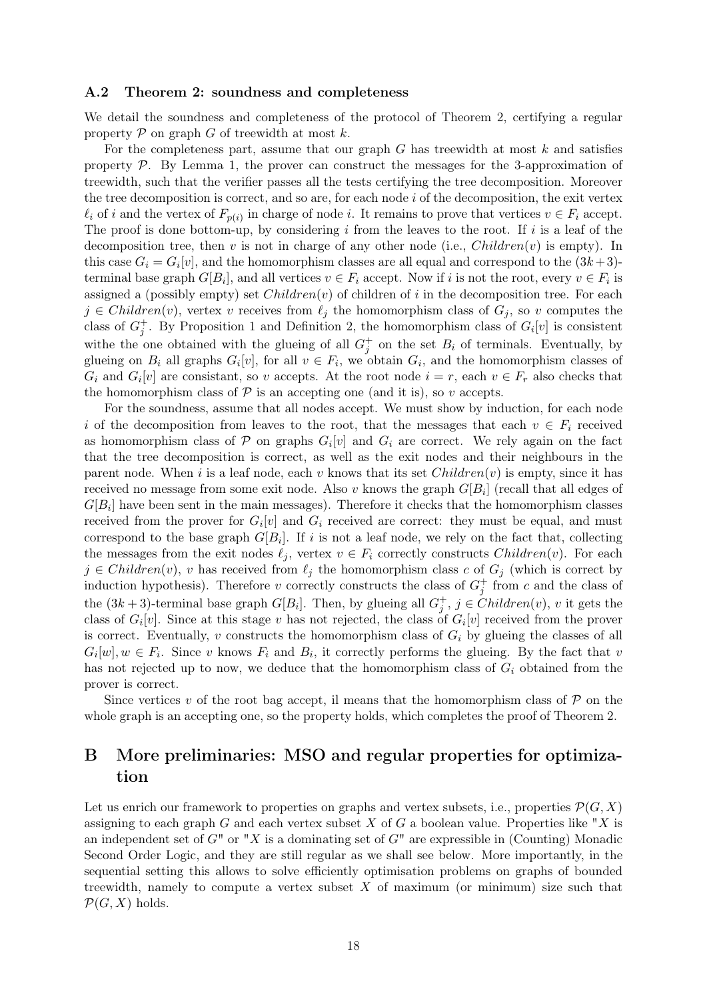#### A.2 Theorem 2: soundness and completeness

We detail the soundness and completeness of the protocol of Theorem 2, certifying a regular property  $P$  on graph  $G$  of treewidth at most  $k$ .

For the completeness part, assume that our graph  $G$  has treewidth at most  $k$  and satisfies property  $\mathcal{P}$ . By Lemma 1, the prover can construct the messages for the 3-approximation of treewidth, such that the verifier passes all the tests certifying the tree decomposition. Moreover the tree decomposition is correct, and so are, for each node i of the decomposition, the exit vertex  $\ell_i$  of i and the vertex of  $F_{p(i)}$  in charge of node i. It remains to prove that vertices  $v \in F_i$  accept. The proof is done bottom-up, by considering  $i$  from the leaves to the root. If  $i$  is a leaf of the decomposition tree, then v is not in charge of any other node (i.e.,  $Children(v)$  is empty). In this case  $G_i = G_i[v]$ , and the homomorphism classes are all equal and correspond to the  $(3k+3)$ terminal base graph  $G[B_i]$ , and all vertices  $v \in F_i$  accept. Now if i is not the root, every  $v \in F_i$  is assigned a (possibly empty) set  $Children(v)$  of children of i in the decomposition tree. For each  $j \in Children(v)$ , vertex v receives from  $\ell_j$  the homomorphism class of  $G_j$ , so v computes the class of  $G_j^+$ . By Proposition 1 and Definition 2, the homomorphism class of  $G_i[v]$  is consistent withe the one obtained with the glueing of all  $G_j^+$  on the set  $B_i$  of terminals. Eventually, by glueing on  $B_i$  all graphs  $G_i[v]$ , for all  $v \in F_i$ , we obtain  $G_i$ , and the homomorphism classes of  $G_i$  and  $G_i[v]$  are consistant, so v accepts. At the root node  $i = r$ , each  $v \in F_r$  also checks that the homomorphism class of  $P$  is an accepting one (and it is), so v accepts.

For the soundness, assume that all nodes accept. We must show by induction, for each node i of the decomposition from leaves to the root, that the messages that each  $v \in F_i$  received as homomorphism class of  $P$  on graphs  $G_i[v]$  and  $G_i$  are correct. We rely again on the fact that the tree decomposition is correct, as well as the exit nodes and their neighbours in the parent node. When i is a leaf node, each v knows that its set  $Children(v)$  is empty, since it has received no message from some exit node. Also  $v$  knows the graph  $G[B_i]$  (recall that all edges of  $G[B_i]$  have been sent in the main messages). Therefore it checks that the homomorphism classes received from the prover for  $G_i[v]$  and  $G_i$  received are correct: they must be equal, and must correspond to the base graph  $G[B_i]$ . If i is not a leaf node, we rely on the fact that, collecting the messages from the exit nodes  $\ell_j$ , vertex  $v \in F_i$  correctly constructs Children(v). For each  $j \in Children(v), v$  has received from  $\ell_j$  the homomorphism class c of  $G_j$  (which is correct by induction hypothesis). Therefore v correctly constructs the class of  $G_j^+$  from c and the class of the  $(3k+3)$ -terminal base graph  $G[B_i]$ . Then, by glueing all  $G_j^+$ ,  $j \in \text{Children}(v)$ , v it gets the class of  $G_i[v]$ . Since at this stage v has not rejected, the class of  $G_i[v]$  received from the prover is correct. Eventually,  $v$  constructs the homomorphism class of  $G_i$  by glueing the classes of all  $G_i[w], w \in F_i$ . Since v knows  $F_i$  and  $B_i$ , it correctly performs the glueing. By the fact that v has not rejected up to now, we deduce that the homomorphism class of  $G_i$  obtained from the prover is correct.

Since vertices v of the root bag accept, il means that the homomorphism class of  $P$  on the whole graph is an accepting one, so the property holds, which completes the proof of Theorem 2.

## B More preliminaries: MSO and regular properties for optimization

Let us enrich our framework to properties on graphs and vertex subsets, i.e., properties  $\mathcal{P}(G, X)$ assigning to each graph G and each vertex subset X of G a boolean value. Properties like "X is an independent set of  $G''$  or "X is a dominating set of  $G''$  are expressible in (Counting) Monadic Second Order Logic, and they are still regular as we shall see below. More importantly, in the sequential setting this allows to solve efficiently optimisation problems on graphs of bounded treewidth, namely to compute a vertex subset  $X$  of maximum (or minimum) size such that  $\mathcal{P}(G,X)$  holds.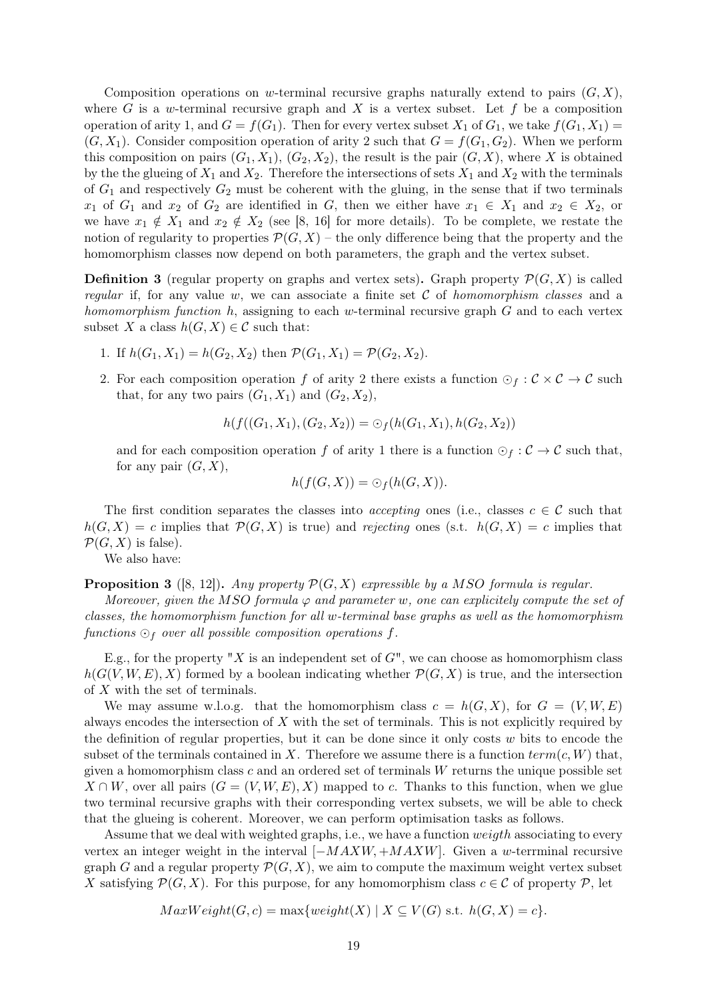Composition operations on w-terminal recursive graphs naturally extend to pairs  $(G, X)$ , where G is a w-terminal recursive graph and X is a vertex subset. Let f be a composition operation of arity 1, and  $G = f(G_1)$ . Then for every vertex subset  $X_1$  of  $G_1$ , we take  $f(G_1, X_1)$  $(G, X_1)$ . Consider composition operation of arity 2 such that  $G = f(G_1, G_2)$ . When we perform this composition on pairs  $(G_1, X_1), (G_2, X_2)$ , the result is the pair  $(G, X)$ , where X is obtained by the the glueing of  $X_1$  and  $X_2$ . Therefore the intersections of sets  $X_1$  and  $X_2$  with the terminals of  $G_1$  and respectively  $G_2$  must be coherent with the gluing, in the sense that if two terminals  $x_1$  of  $G_1$  and  $x_2$  of  $G_2$  are identified in G, then we either have  $x_1 \in X_1$  and  $x_2 \in X_2$ , or we have  $x_1 \notin X_1$  and  $x_2 \notin X_2$  (see [8, 16] for more details). To be complete, we restate the notion of regularity to properties  $\mathcal{P}(G, X)$  – the only difference being that the property and the homomorphism classes now depend on both parameters, the graph and the vertex subset.

**Definition 3** (regular property on graphs and vertex sets). Graph property  $\mathcal{P}(G, X)$  is called regular if, for any value w, we can associate a finite set  $\mathcal C$  of homomorphism classes and a homomorphism function h, assigning to each w-terminal recursive graph  $G$  and to each vertex subset X a class  $h(G, X) \in \mathcal{C}$  such that:

- 1. If  $h(G_1, X_1) = h(G_2, X_2)$  then  $\mathcal{P}(G_1, X_1) = \mathcal{P}(G_2, X_2)$ .
- 2. For each composition operation f of arity 2 there exists a function  $\odot_f : \mathcal{C} \times \mathcal{C} \to \mathcal{C}$  such that, for any two pairs  $(G_1, X_1)$  and  $(G_2, X_2)$ ,

$$
h(f((G_1, X_1), (G_2, X_2)) = \bigcirc_f(h(G_1, X_1), h(G_2, X_2))
$$

and for each composition operation f of arity 1 there is a function  $\odot_f : C \to C$  such that, for any pair  $(G, X)$ ,

$$
h(f(G, X)) = \bigcirc_f (h(G, X)).
$$

The first condition separates the classes into *accepting* ones (i.e., classes  $c \in \mathcal{C}$  such that  $h(G, X) = c$  implies that  $\mathcal{P}(G, X)$  is true) and rejecting ones (s.t.  $h(G, X) = c$  implies that  $\mathcal{P}(G, X)$  is false).

We also have:

**Proposition 3** ([8, 12]). Any property  $\mathcal{P}(G, X)$  expressible by a MSO formula is regular.

Moreover, given the MSO formula  $\varphi$  and parameter w, one can explicitely compute the set of classes, the homomorphism function for all w-terminal base graphs as well as the homomorphism functions  $\odot_f$  over all possible composition operations f.

E.g., for the property "X is an independent set of  $G$ ", we can choose as homomorphism class  $h(G(V, W, E), X)$  formed by a boolean indicating whether  $\mathcal{P}(G, X)$  is true, and the intersection of X with the set of terminals.

We may assume w.l.o.g. that the homomorphism class  $c = h(G, X)$ , for  $G = (V, W, E)$ always encodes the intersection of  $X$  with the set of terminals. This is not explicitly required by the definition of regular properties, but it can be done since it only costs  $w$  bits to encode the subset of the terminals contained in X. Therefore we assume there is a function  $term(c, W)$  that, given a homomorphism class  $c$  and an ordered set of terminals  $W$  returns the unique possible set  $X \cap W$ , over all pairs  $(G = (V, W, E), X)$  mapped to c. Thanks to this function, when we glue two terminal recursive graphs with their corresponding vertex subsets, we will be able to check that the glueing is coherent. Moreover, we can perform optimisation tasks as follows.

Assume that we deal with weighted graphs, i.e., we have a function *weigth* associating to every vertex an integer weight in the interval  $[-MAXW, +MAXW]$ . Given a w-terrminal recursive graph G and a regular property  $\mathcal{P}(G, X)$ , we aim to compute the maximum weight vertex subset X satisfying  $\mathcal{P}(G, X)$ . For this purpose, for any homomorphism class  $c \in \mathcal{C}$  of property  $\mathcal{P}$ , let

 $MaxWeight(G, c) = \max\{weight(X) | X \subseteq V(G) \text{ s.t. } h(G, X) = c\}.$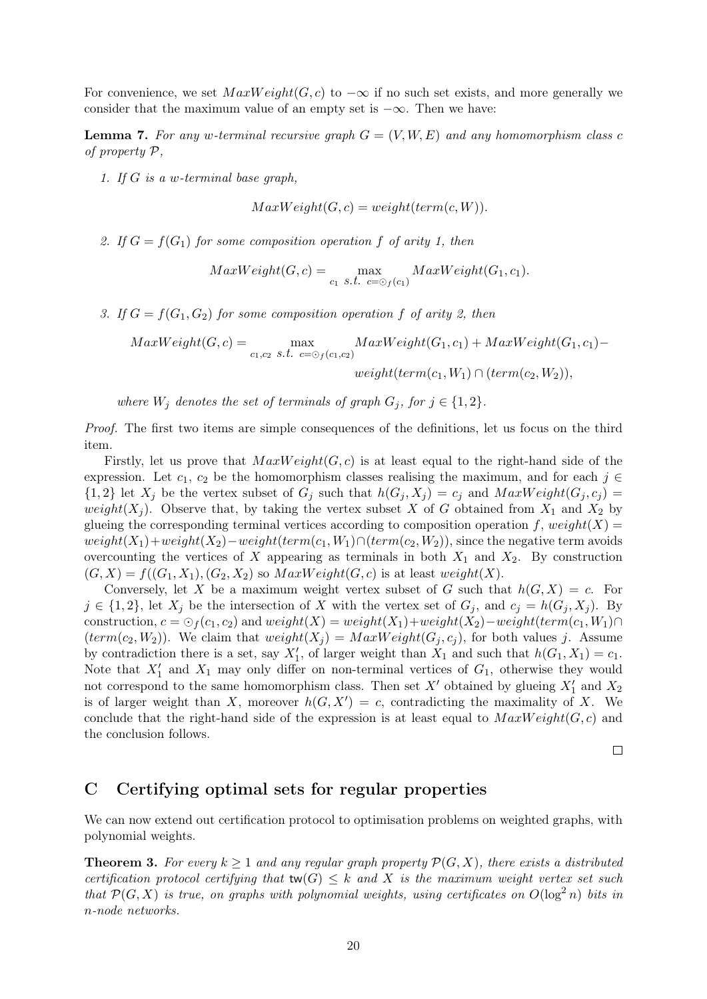For convenience, we set  $MaxWeight(G, c)$  to  $-\infty$  if no such set exists, and more generally we consider that the maximum value of an empty set is  $-\infty$ . Then we have:

**Lemma 7.** For any w-terminal recursive graph  $G = (V, W, E)$  and any homomorphism class c of property P,

1. If G is a w-terminal base graph,

$$
MaxWeight(G, c) = weight(term(c, W)).
$$

2. If  $G = f(G_1)$  for some composition operation f of arity 1, then

 $MaxWeight(G, c) = \max$  $\max_{c_1 \ s.t. \ c = \odot_f(c_1)} MaxWeight(G_1, c_1).$ 

3. If  $G = f(G_1, G_2)$  for some composition operation f of arity 2, then

$$
MaxWeight(G, c) = \max_{c_1, c_2 \ s.t. \ c = \bigcirc_f(c_1, c_2)} MaxWeight(G_1, c_1) + MaxWeight(G_1, c_1) -
$$

weight(term(c<sub>1</sub>,  $W_1$ ) ∩ (term(c<sub>2</sub>,  $W_2$ )),

where  $W_i$  denotes the set of terminals of graph  $G_i$ , for  $j \in \{1,2\}$ .

Proof. The first two items are simple consequences of the definitions, let us focus on the third item.

Firstly, let us prove that  $MaxWeight(G, c)$  is at least equal to the right-hand side of the expression. Let  $c_1, c_2$  be the homomorphism classes realising the maximum, and for each  $j \in$  $\{1,2\}$  let  $X_j$  be the vertex subset of  $G_j$  such that  $h(G_j, X_j) = c_j$  and  $MaxWeight(G_j, c_j) =$ weight(X<sub>j</sub>). Observe that, by taking the vertex subset X of G obtained from  $X_1$  and  $X_2$  by glueing the corresponding terminal vertices according to composition operation f,  $weight(X) =$  $weight(X_1)+weight(X_2)-weight(term(c_1, W_1) \cap (term(c_2, W_2))$ , since the negative term avoids overcounting the vertices of X appearing as terminals in both  $X_1$  and  $X_2$ . By construction  $(G, X) = f((G_1, X_1), (G_2, X_2)$  so  $MaxWeight(G, c)$  is at least weight $(X)$ .

Conversely, let X be a maximum weight vertex subset of G such that  $h(G, X) = c$ . For  $j \in \{1,2\}$ , let  $X_j$  be the intersection of X with the vertex set of  $G_j$ , and  $c_j = h(G_j, X_j)$ . By construction,  $c = \bigcirc_f(c_1, c_2)$  and  $weight(X) = weight(X_1) + weight(X_2) - weight(term(c_1, W_1) \cap$  $(term(c_2, W_2))$ . We claim that  $weight(X_i) = MaxWeight(G_i, c_i)$ , for both values j. Assume by contradiction there is a set, say  $X'_1$ , of larger weight than  $X_1$  and such that  $h(G_1, X_1) = c_1$ . Note that  $X'_1$  and  $X_1$  may only differ on non-terminal vertices of  $G_1$ , otherwise they would not correspond to the same homomorphism class. Then set X' obtained by glueing  $X'_1$  and  $X_2$ is of larger weight than X, moreover  $h(G, X') = c$ , contradicting the maximality of X. We conclude that the right-hand side of the expression is at least equal to  $MaxWeight(G, c)$  and the conclusion follows.

 $\Box$ 

## C Certifying optimal sets for regular properties

We can now extend out certification protocol to optimisation problems on weighted graphs, with polynomial weights.

**Theorem 3.** For every  $k \geq 1$  and any regular graph property  $\mathcal{P}(G, X)$ , there exists a distributed certification protocol certifying that  $tw(G) \leq k$  and X is the maximum weight vertex set such that  $\mathcal{P}(G, X)$  is true, on graphs with polynomial weights, using certificates on  $O(\log^2 n)$  bits in n-node networks.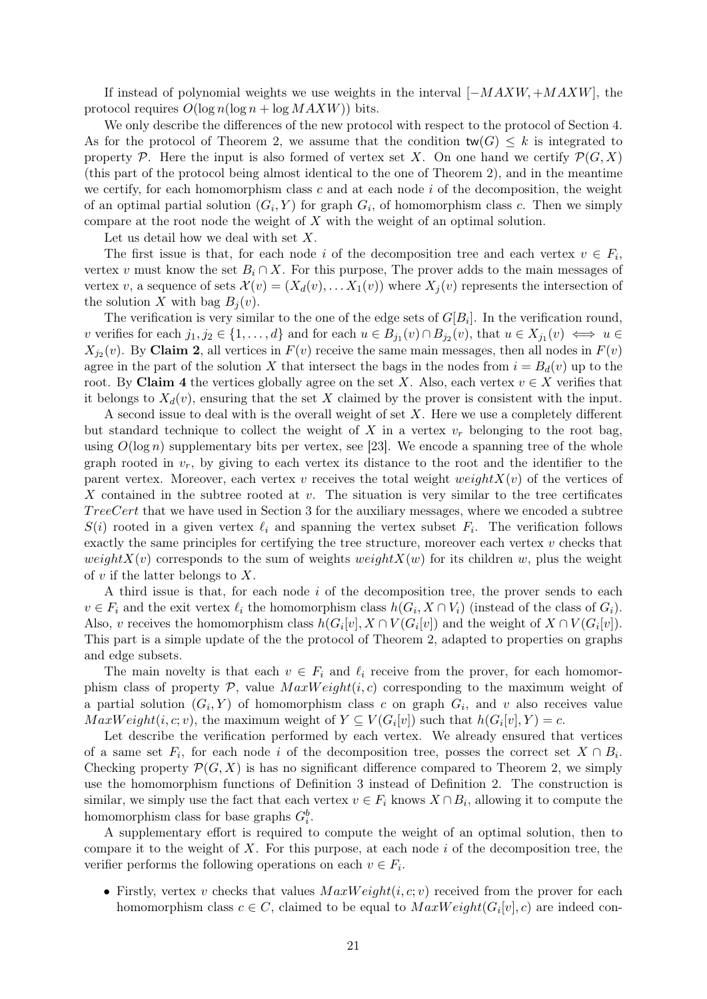If instead of polynomial weights we use weights in the interval  $[-MAXW, +MAXW]$ , the protocol requires  $O(\log n(\log n + \log MAXW))$  bits.

We only describe the differences of the new protocol with respect to the protocol of Section 4. As for the protocol of Theorem 2, we assume that the condition  $tw(G) \leq k$  is integrated to property P. Here the input is also formed of vertex set X. On one hand we certify  $\mathcal{P}(G, X)$ (this part of the protocol being almost identical to the one of Theorem 2), and in the meantime we certify, for each homomorphism class c and at each node  $i$  of the decomposition, the weight of an optimal partial solution  $(G_i, Y)$  for graph  $G_i$ , of homomorphism class c. Then we simply compare at the root node the weight of X with the weight of an optimal solution.

Let us detail how we deal with set  $X$ .

The first issue is that, for each node i of the decomposition tree and each vertex  $v \in F_i$ , vertex v must know the set  $B_i \cap X$ . For this purpose, The prover adds to the main messages of vertex v, a sequence of sets  $\mathcal{X}(v) = (X_d(v), \dots X_1(v))$  where  $X_j(v)$  represents the intersection of the solution X with bag  $B_i(v)$ .

The verification is very similar to the one of the edge sets of  $G[B_i]$ . In the verification round, v verifies for each  $j_1, j_2 \in \{1, ..., d\}$  and for each  $u \in B_{j_1}(v) \cap B_{j_2}(v)$ , that  $u \in X_{j_1}(v) \iff u \in$  $X_{j_2}(v)$ . By Claim 2, all vertices in  $F(v)$  receive the same main messages, then all nodes in  $F(v)$ agree in the part of the solution X that intersect the bags in the nodes from  $i = B_d(v)$  up to the root. By Claim 4 the vertices globally agree on the set X. Also, each vertex  $v \in X$  verifies that it belongs to  $X_d(v)$ , ensuring that the set X claimed by the prover is consistent with the input.

A second issue to deal with is the overall weight of set  $X$ . Here we use a completely different but standard technique to collect the weight of X in a vertex  $v_r$  belonging to the root bag, using  $O(\log n)$  supplementary bits per vertex, see [23]. We encode a spanning tree of the whole graph rooted in  $v_r$ , by giving to each vertex its distance to the root and the identifier to the parent vertex. Moreover, each vertex v receives the total weight  $weightX(v)$  of the vertices of X contained in the subtree rooted at  $v$ . The situation is very similar to the tree certificates TreeCert that we have used in Section 3 for the auxiliary messages, where we encoded a subtree  $S(i)$  rooted in a given vertex  $\ell_i$  and spanning the vertex subset  $F_i$ . The verification follows exactly the same principles for certifying the tree structure, moreover each vertex  $v$  checks that weight  $X(v)$  corresponds to the sum of weights weight  $X(w)$  for its children w, plus the weight of  $v$  if the latter belongs to  $X$ .

A third issue is that, for each node  $i$  of the decomposition tree, the prover sends to each  $v \in F_i$  and the exit vertex  $\ell_i$  the homomorphism class  $h(G_i, X \cap V_i)$  (instead of the class of  $G_i$ ). Also, v receives the homomorphism class  $h(G_i[v], X \cap V(G_i[v])$  and the weight of  $X \cap V(G_i[v])$ . This part is a simple update of the the protocol of Theorem 2, adapted to properties on graphs and edge subsets.

The main novelty is that each  $v \in F_i$  and  $\ell_i$  receive from the prover, for each homomorphism class of property  $P$ , value  $MaxWeight(i, c)$  corresponding to the maximum weight of a partial solution  $(G_i, Y)$  of homomorphism class c on graph  $G_i$ , and v also receives value  $MaxWeight(i, c; v)$ , the maximum weight of  $Y \subseteq V(G_i[v])$  such that  $h(G_i[v], Y) = c$ .

Let describe the verification performed by each vertex. We already ensured that vertices of a same set  $F_i$ , for each node i of the decomposition tree, posses the correct set  $X \cap B_i$ . Checking property  $\mathcal{P}(G, X)$  is has no significant difference compared to Theorem 2, we simply use the homomorphism functions of Definition 3 instead of Definition 2. The construction is similar, we simply use the fact that each vertex  $v \in F_i$  knows  $X \cap B_i$ , allowing it to compute the homomorphism class for base graphs  $G_i^b$ .

A supplementary effort is required to compute the weight of an optimal solution, then to compare it to the weight of  $X$ . For this purpose, at each node  $i$  of the decomposition tree, the verifier performs the following operations on each  $v \in F_i$ .

• Firstly, vertex v checks that values  $MaxWeight(i, c; v)$  received from the prover for each homomorphism class  $c \in C$ , claimed to be equal to  $MaxWeight(G_i[v], c)$  are indeed con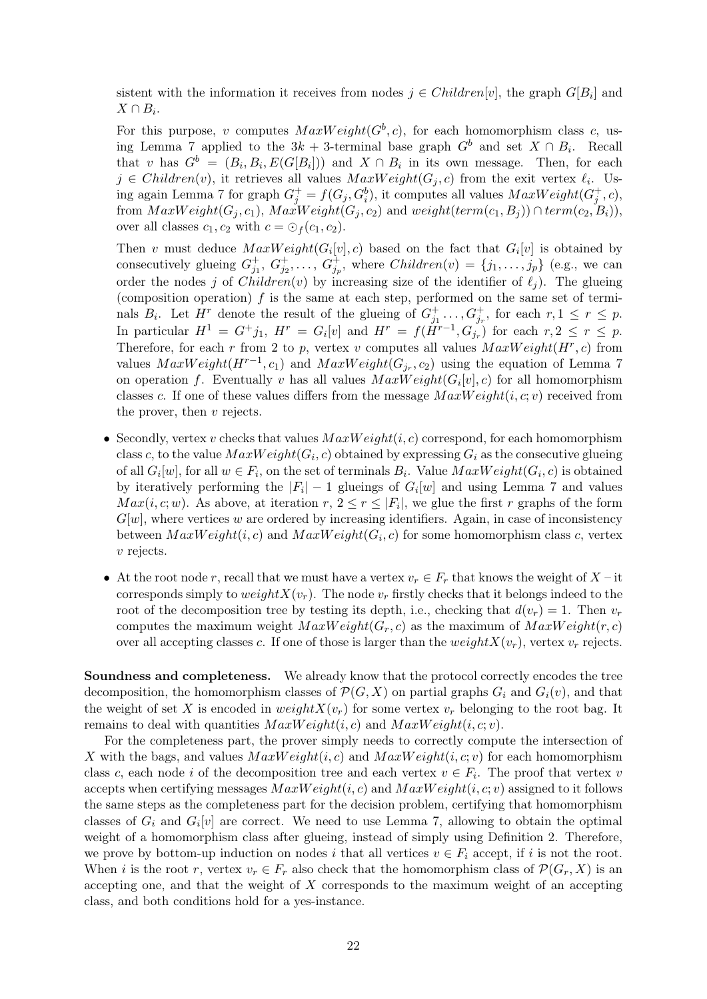sistent with the information it receives from nodes  $j \in Children[v]$ , the graph  $G[B_i]$  and  $X \cap B_i$ .

For this purpose, v computes  $MaxWeight(G^b, c)$ , for each homomorphism class c, using Lemma 7 applied to the  $3k + 3$ -terminal base graph  $G^b$  and set  $X \cap B_i$ . Recall that v has  $G^b = (B_i, B_i, E(G[B_i]))$  and  $X \cap B_i$  in its own message. Then, for each  $j \in Children(v)$ , it retrieves all values  $MaxWeight(G_j, c)$  from the exit vertex  $\ell_i$ . Using again Lemma 7 for graph  $G_j^+ = f(G_j, G_i^b)$ , it computes all values  $MaxWeight(G_j^+, c)$ , from  $MaxWeight(G_j, c_1), MaxWeight(G_j, c_2)$  and  $weight(term(c_1, B_j)) \cap term(c_2, B_i)),$ over all classes  $c_1, c_2$  with  $c = \bigcirc_f (c_1, c_2)$ .

Then v must deduce  $MaxWeight(G_i[v], c)$  based on the fact that  $G_i[v]$  is obtained by consecutively glueing  $G_{j_1}^+$ ,  $G_{j_2}^+$ , ...,  $G_{j_p}^+$ , where  $Children(v) = \{j_1, \ldots, j_p\}$  (e.g., we can order the nodes j of Children(v) by increasing size of the identifier of  $\ell_i$ ). The glueing (composition operation) f is the same at each step, performed on the same set of terminals  $B_i$ . Let  $H^r$  denote the result of the glueing of  $G^+_{j_1}, \ldots, G^+_{j_r}$ , for each  $r, 1 \leq r \leq p$ . In particular  $H^1 = G^+ j_1$ ,  $H^r = G_i[v]$  and  $H^r = f(H^{r-1}, G_{j_r})$  for each  $r, 2 \le r \le p$ . Therefore, for each r from 2 to p, vertex v computes all values  $MaxWeight(H^r, c)$  from values  $MaxWeight(H^{r-1}, c_1)$  and  $MaxWeight(G_{j_r}, c_2)$  using the equation of Lemma 7 on operation f. Eventually v has all values  $MaxWeight(G_i[v], c)$  for all homomorphism classes c. If one of these values differs from the message  $MaxWeight(i, c; v)$  received from the prover, then v rejects.

- Secondly, vertex v checks that values  $MaxWeight(i, c)$  correspond, for each homomorphism class c, to the value  $MaxWeight(G_i, c)$  obtained by expressing  $G_i$  as the consecutive glueing of all  $G_i[w]$ , for all  $w \in F_i$ , on the set of terminals  $B_i$ . Value  $MaxWeight(G_i, c)$  is obtained by iteratively performing the  $|F_i| - 1$  glueings of  $G_i[w]$  and using Lemma 7 and values  $Max(i, c; w)$ . As above, at iteration  $r, 2 \le r \le |F_i|$ , we glue the first r graphs of the form  $G[w]$ , where vertices w are ordered by increasing identifiers. Again, in case of inconsistency between  $MaxWeight(i, c)$  and  $MaxWeight(G_i, c)$  for some homomorphism class c, vertex v rejects.
- At the root node r, recall that we must have a vertex  $v_r \in F_r$  that knows the weight of  $X$  it corresponds simply to weight  $X(v_r)$ . The node  $v_r$  firstly checks that it belongs indeed to the root of the decomposition tree by testing its depth, i.e., checking that  $d(v_r) = 1$ . Then  $v_r$ computes the maximum weight  $MaxWeight(G_r, c)$  as the maximum of  $MaxWeight(r, c)$ over all accepting classes c. If one of those is larger than the weight  $X(v_r)$ , vertex  $v_r$  rejects.

Soundness and completeness. We already know that the protocol correctly encodes the tree decomposition, the homomorphism classes of  $\mathcal{P}(G, X)$  on partial graphs  $G_i$  and  $G_i(v)$ , and that the weight of set X is encoded in weight $X(v_r)$  for some vertex  $v_r$  belonging to the root bag. It remains to deal with quantities  $MaxWeight(i, c)$  and  $MaxWeight(i, c; v)$ .

For the completeness part, the prover simply needs to correctly compute the intersection of X with the bags, and values  $MaxWeight(i, c)$  and  $MaxWeight(i, c; v)$  for each homomorphism class c, each node i of the decomposition tree and each vertex  $v \in F_i$ . The proof that vertex v accepts when certifying messages  $MaxWeight(i, c)$  and  $MaxWeight(i, c; v)$  assigned to it follows the same steps as the completeness part for the decision problem, certifying that homomorphism classes of  $G_i$  and  $G_i[v]$  are correct. We need to use Lemma 7, allowing to obtain the optimal weight of a homomorphism class after glueing, instead of simply using Definition 2. Therefore, we prove by bottom-up induction on nodes i that all vertices  $v \in F_i$  accept, if i is not the root. When i is the root r, vertex  $v_r \in F_r$  also check that the homomorphism class of  $\mathcal{P}(G_r, X)$  is an accepting one, and that the weight of X corresponds to the maximum weight of an accepting class, and both conditions hold for a yes-instance.